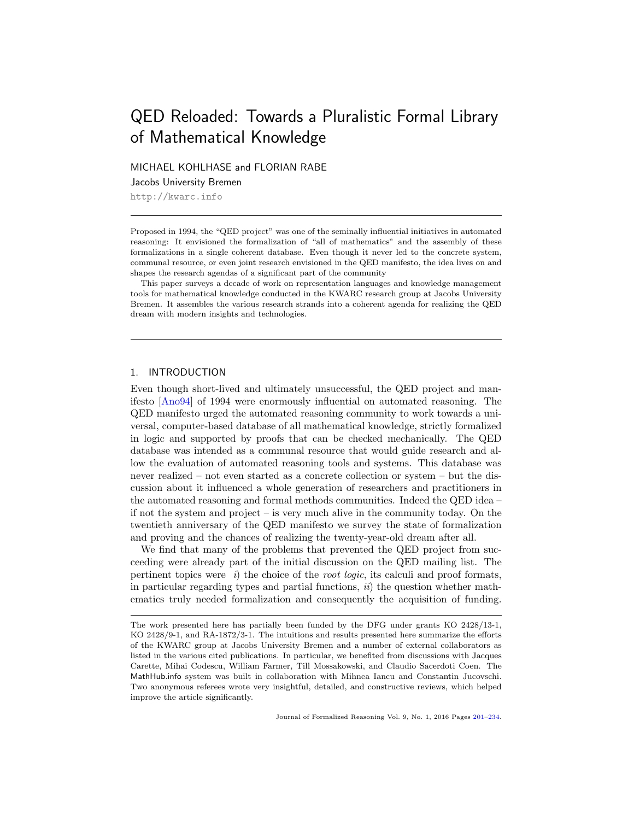# <span id="page-0-0"></span>QED Reloaded: Towards a Pluralistic Formal Library of Mathematical Knowledge

MICHAEL KOHLHASE and FLORIAN RABE

Jacobs University Bremen

<http://kwarc.info>

Proposed in 1994, the "QED project" was one of the seminally influential initiatives in automated reasoning: It envisioned the formalization of "all of mathematics" and the assembly of these formalizations in a single coherent database. Even though it never led to the concrete system, communal resource, or even joint research envisioned in the QED manifesto, the idea lives on and shapes the research agendas of a significant part of the community

This paper surveys a decade of work on representation languages and knowledge management tools for mathematical knowledge conducted in the KWARC research group at Jacobs University Bremen. It assembles the various research strands into a coherent agenda for realizing the QED dream with modern insights and technologies.

# 1. INTRODUCTION

Even though short-lived and ultimately unsuccessful, the QED project and manifesto [\[Ano94\]](#page-27-0) of 1994 were enormously influential on automated reasoning. The QED manifesto urged the automated reasoning community to work towards a universal, computer-based database of all mathematical knowledge, strictly formalized in logic and supported by proofs that can be checked mechanically. The QED database was intended as a communal resource that would guide research and allow the evaluation of automated reasoning tools and systems. This database was never realized – not even started as a concrete collection or system – but the discussion about it influenced a whole generation of researchers and practitioners in the automated reasoning and formal methods communities. Indeed the QED idea – if not the system and project – is very much alive in the community today. On the twentieth anniversary of the QED manifesto we survey the state of formalization and proving and the chances of realizing the twenty-year-old dream after all.

We find that many of the problems that prevented the QED project from succeeding were already part of the initial discussion on the QED mailing list. The pertinent topics were  $i)$  the choice of the *root logic*, its calculi and proof formats, in particular regarding types and partial functions,  $ii)$  the question whether mathematics truly needed formalization and consequently the acquisition of funding.

Journal of Formalized Reasoning Vol. 9, No. 1, 2016 Pages [201–](#page-0-0)[234.](#page-27-1)

The work presented here has partially been funded by the DFG under grants KO 2428/13-1, KO 2428/9-1, and RA-1872/3-1. The intuitions and results presented here summarize the efforts of the KWARC group at Jacobs University Bremen and a number of external collaborators as listed in the various cited publications. In particular, we benefited from discussions with Jacques Carette, Mihai Codescu, William Farmer, Till Mossakowski, and Claudio Sacerdoti Coen. The MathHub.info system was built in collaboration with Mihnea Iancu and Constantin Jucovschi. Two anonymous referees wrote very insightful, detailed, and constructive reviews, which helped improve the article significantly.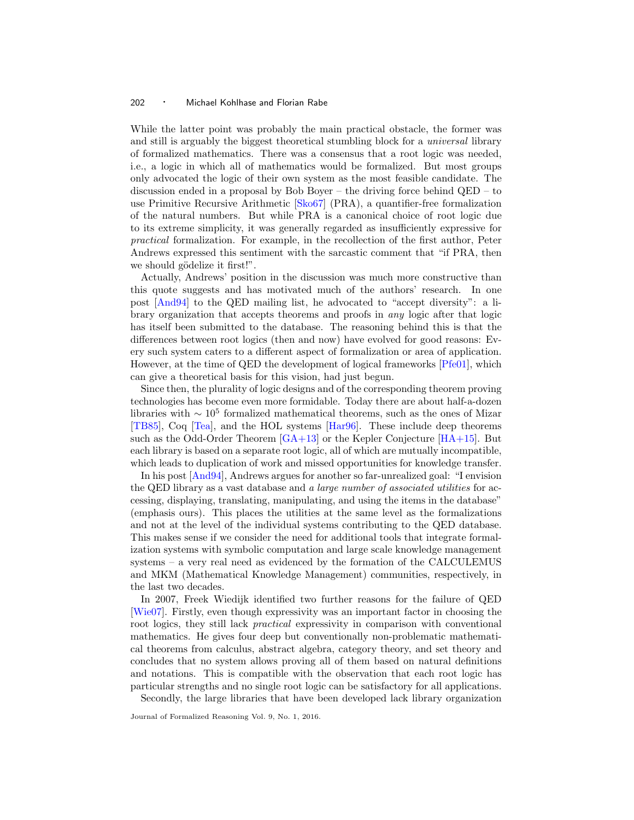While the latter point was probably the main practical obstacle, the former was and still is arguably the biggest theoretical stumbling block for a *universal* library of formalized mathematics. There was a consensus that a root logic was needed, i.e., a logic in which all of mathematics would be formalized. But most groups only advocated the logic of their own system as the most feasible candidate. The discussion ended in a proposal by Bob Boyer – the driving force behind QED – to use Primitive Recursive Arithmetic [\[Sko67\]](#page-33-0) (PRA), a quantifier-free formalization of the natural numbers. But while PRA is a canonical choice of root logic due to its extreme simplicity, it was generally regarded as insufficiently expressive for practical formalization. For example, in the recollection of the first author, Peter Andrews expressed this sentiment with the sarcastic comment that "if PRA, then we should gödelize it first!".

Actually, Andrews' position in the discussion was much more constructive than this quote suggests and has motivated much of the authors' research. In one post [\[And94\]](#page-27-2) to the QED mailing list, he advocated to "accept diversity": a library organization that accepts theorems and proofs in any logic after that logic has itself been submitted to the database. The reasoning behind this is that the differences between root logics (then and now) have evolved for good reasons: Every such system caters to a different aspect of formalization or area of application. However, at the time of QED the development of logical frameworks [\[Pfe01\]](#page-32-0), which can give a theoretical basis for this vision, had just begun.

Since then, the plurality of logic designs and of the corresponding theorem proving technologies has become even more formidable. Today there are about half-a-dozen libraries with  $\sim 10^5$  formalized mathematical theorems, such as the ones of Mizar [\[TB85\]](#page-33-1), Coq [\[Tea\]](#page-33-2), and the HOL systems [\[Har96\]](#page-28-0). These include deep theorems such as the Odd-Order Theorem  $\left[\frac{GA+13}{A}\right]$  or the Kepler Conjecture  $\left[\frac{HA+15}{A+15}\right]$ . But each library is based on a separate root logic, all of which are mutually incompatible, which leads to duplication of work and missed opportunities for knowledge transfer.

In his post [\[And94\]](#page-27-2), Andrews argues for another so far-unrealized goal: "I envision the QED library as a vast database and a *large number of associated utilities* for accessing, displaying, translating, manipulating, and using the items in the database" (emphasis ours). This places the utilities at the same level as the formalizations and not at the level of the individual systems contributing to the QED database. This makes sense if we consider the need for additional tools that integrate formalization systems with symbolic computation and large scale knowledge management systems – a very real need as evidenced by the formation of the CALCULEMUS and MKM (Mathematical Knowledge Management) communities, respectively, in the last two decades.

In 2007, Freek Wiedijk identified two further reasons for the failure of QED [\[Wie07\]](#page-33-3). Firstly, even though expressivity was an important factor in choosing the root logics, they still lack practical expressivity in comparison with conventional mathematics. He gives four deep but conventionally non-problematic mathematical theorems from calculus, abstract algebra, category theory, and set theory and concludes that no system allows proving all of them based on natural definitions and notations. This is compatible with the observation that each root logic has particular strengths and no single root logic can be satisfactory for all applications.

Secondly, the large libraries that have been developed lack library organization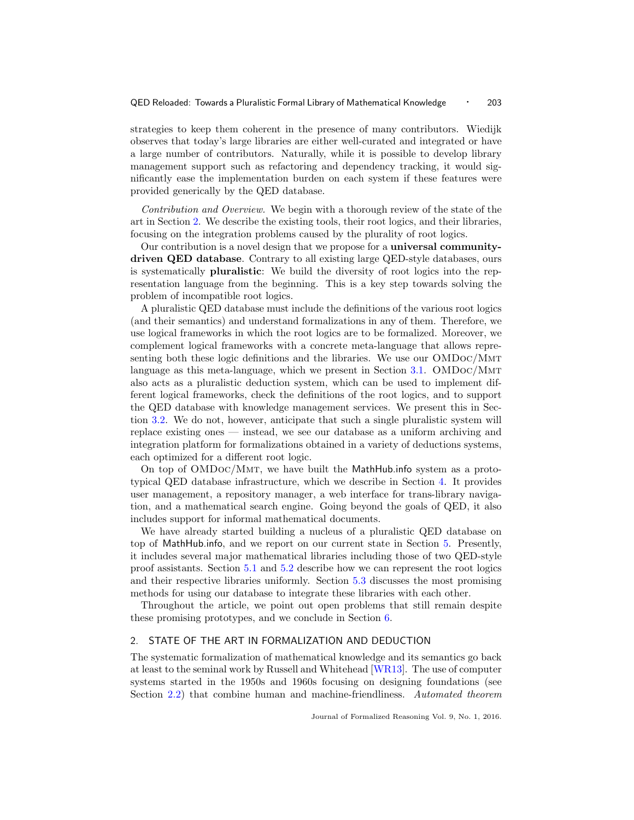strategies to keep them coherent in the presence of many contributors. Wiedijk observes that today's large libraries are either well-curated and integrated or have a large number of contributors. Naturally, while it is possible to develop library management support such as refactoring and dependency tracking, it would significantly ease the implementation burden on each system if these features were provided generically by the QED database.

Contribution and Overview. We begin with a thorough review of the state of the art in Section [2.](#page-2-0) We describe the existing tools, their root logics, and their libraries, focusing on the integration problems caused by the plurality of root logics.

Our contribution is a novel design that we propose for a universal communitydriven QED database. Contrary to all existing large QED-style databases, ours is systematically pluralistic: We build the diversity of root logics into the representation language from the beginning. This is a key step towards solving the problem of incompatible root logics.

A pluralistic QED database must include the definitions of the various root logics (and their semantics) and understand formalizations in any of them. Therefore, we use logical frameworks in which the root logics are to be formalized. Moreover, we complement logical frameworks with a concrete meta-language that allows representing both these logic definitions and the libraries. We use our OMDoc/Mmt language as this meta-language, which we present in Section [3.1.](#page-12-0) OMDoc/Mmt also acts as a pluralistic deduction system, which can be used to implement different logical frameworks, check the definitions of the root logics, and to support the QED database with knowledge management services. We present this in Section [3.2.](#page-14-0) We do not, however, anticipate that such a single pluralistic system will replace existing ones — instead, we see our database as a uniform archiving and integration platform for formalizations obtained in a variety of deductions systems, each optimized for a different root logic.

On top of OMDoc/Mmt, we have built the MathHub.info system as a prototypical QED database infrastructure, which we describe in Section [4.](#page-17-0) It provides user management, a repository manager, a web interface for trans-library navigation, and a mathematical search engine. Going beyond the goals of QED, it also includes support for informal mathematical documents.

We have already started building a nucleus of a pluralistic QED database on top of MathHub.info, and we report on our current state in Section [5.](#page-21-0) Presently, it includes several major mathematical libraries including those of two QED-style proof assistants. Section [5.1](#page-21-1) and [5.2](#page-22-0) describe how we can represent the root logics and their respective libraries uniformly. Section [5.3](#page-23-0) discusses the most promising methods for using our database to integrate these libraries with each other.

Throughout the article, we point out open problems that still remain despite these promising prototypes, and we conclude in Section [6.](#page-26-0)

# <span id="page-2-0"></span>2. STATE OF THE ART IN FORMALIZATION AND DEDUCTION

The systematic formalization of mathematical knowledge and its semantics go back at least to the seminal work by Russell and Whitehead [\[WR13\]](#page-33-4). The use of computer systems started in the 1950s and 1960s focusing on designing foundations (see Section [2.2\)](#page-4-0) that combine human and machine-friendliness. Automated theorem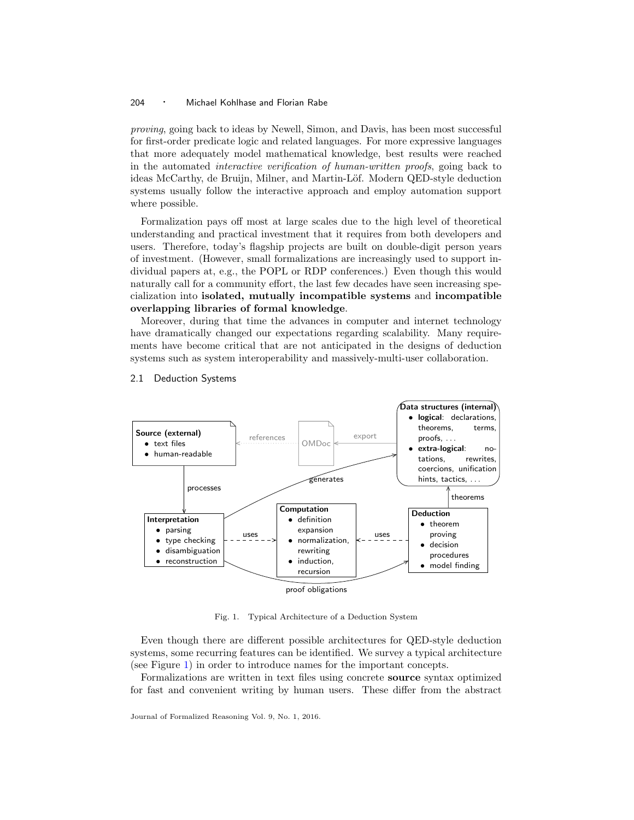proving, going back to ideas by Newell, Simon, and Davis, has been most successful for first-order predicate logic and related languages. For more expressive languages that more adequately model mathematical knowledge, best results were reached in the automated interactive verification of human-written proofs, going back to ideas McCarthy, de Bruijn, Milner, and Martin-Löf. Modern QED-style deduction systems usually follow the interactive approach and employ automation support where possible.

Formalization pays off most at large scales due to the high level of theoretical understanding and practical investment that it requires from both developers and users. Therefore, today's flagship projects are built on double-digit person years of investment. (However, small formalizations are increasingly used to support individual papers at, e.g., the POPL or RDP conferences.) Even though this would naturally call for a community effort, the last few decades have seen increasing specialization into isolated, mutually incompatible systems and incompatible overlapping libraries of formal knowledge.

Moreover, during that time the advances in computer and internet technology have dramatically changed our expectations regarding scalability. Many requirements have become critical that are not anticipated in the designs of deduction systems such as system interoperability and massively-multi-user collaboration.



#### 2.1 Deduction Systems

<span id="page-3-0"></span>Fig. 1. Typical Architecture of a Deduction System

Even though there are different possible architectures for QED-style deduction systems, some recurring features can be identified. We survey a typical architecture (see Figure [1\)](#page-3-0) in order to introduce names for the important concepts.

Formalizations are written in text files using concrete source syntax optimized for fast and convenient writing by human users. These differ from the abstract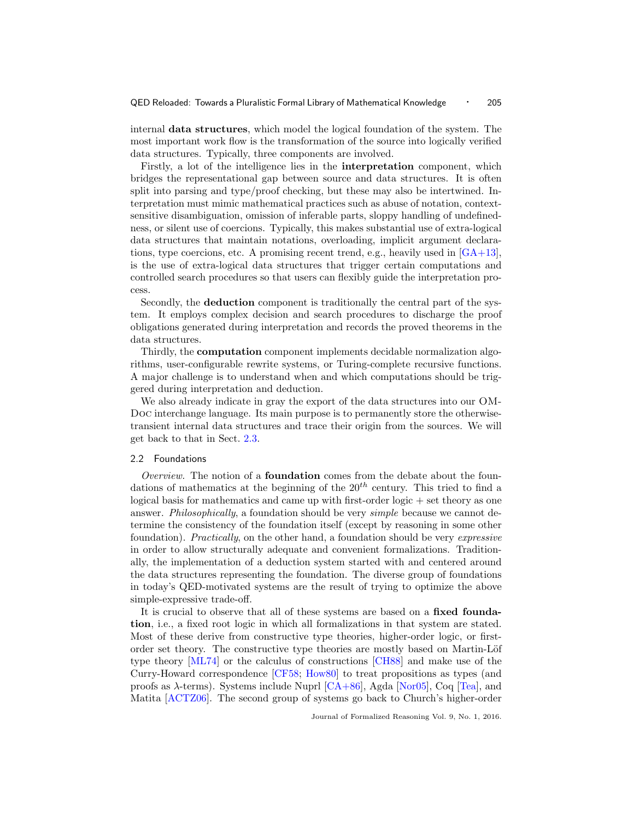internal data structures, which model the logical foundation of the system. The most important work flow is the transformation of the source into logically verified data structures. Typically, three components are involved.

Firstly, a lot of the intelligence lies in the interpretation component, which bridges the representational gap between source and data structures. It is often split into parsing and type/proof checking, but these may also be intertwined. Interpretation must mimic mathematical practices such as abuse of notation, contextsensitive disambiguation, omission of inferable parts, sloppy handling of undefinedness, or silent use of coercions. Typically, this makes substantial use of extra-logical data structures that maintain notations, overloading, implicit argument declarations, type coercions, etc. A promising recent trend, e.g., heavily used in  $[GA+13]$ , is the use of extra-logical data structures that trigger certain computations and controlled search procedures so that users can flexibly guide the interpretation process.

Secondly, the deduction component is traditionally the central part of the system. It employs complex decision and search procedures to discharge the proof obligations generated during interpretation and records the proved theorems in the data structures.

Thirdly, the computation component implements decidable normalization algorithms, user-configurable rewrite systems, or Turing-complete recursive functions. A major challenge is to understand when and which computations should be triggered during interpretation and deduction.

We also already indicate in gray the export of the data structures into our OM-Doc interchange language. Its main purpose is to permanently store the otherwisetransient internal data structures and trace their origin from the sources. We will get back to that in Sect. [2.3.](#page-7-0)

## <span id="page-4-0"></span>2.2 Foundations

Overview. The notion of a foundation comes from the debate about the foundations of mathematics at the beginning of the  $20<sup>th</sup>$  century. This tried to find a logical basis for mathematics and came up with first-order logic  $+$  set theory as one answer. Philosophically, a foundation should be very simple because we cannot determine the consistency of the foundation itself (except by reasoning in some other foundation). *Practically*, on the other hand, a foundation should be very *expressive* in order to allow structurally adequate and convenient formalizations. Traditionally, the implementation of a deduction system started with and centered around the data structures representing the foundation. The diverse group of foundations in today's QED-motivated systems are the result of trying to optimize the above simple-expressive trade-off.

It is crucial to observe that all of these systems are based on a fixed foundation, i.e., a fixed root logic in which all formalizations in that system are stated. Most of these derive from constructive type theories, higher-order logic, or firstorder set theory. The constructive type theories are mostly based on Martin-Löf type theory [\[ML74\]](#page-31-0) or the calculus of constructions [\[CH88\]](#page-28-3) and make use of the Curry-Howard correspondence [\[CF58;](#page-27-3) [How80\]](#page-29-0) to treat propositions as types (and proofs as  $\lambda$ -terms). Systems include Nuprl [\[CA+86\]](#page-27-4), Agda [\[Nor05\]](#page-31-1), Coq [\[Tea\]](#page-33-2), and Matita [\[ACTZ06\]](#page-27-5). The second group of systems go back to Church's higher-order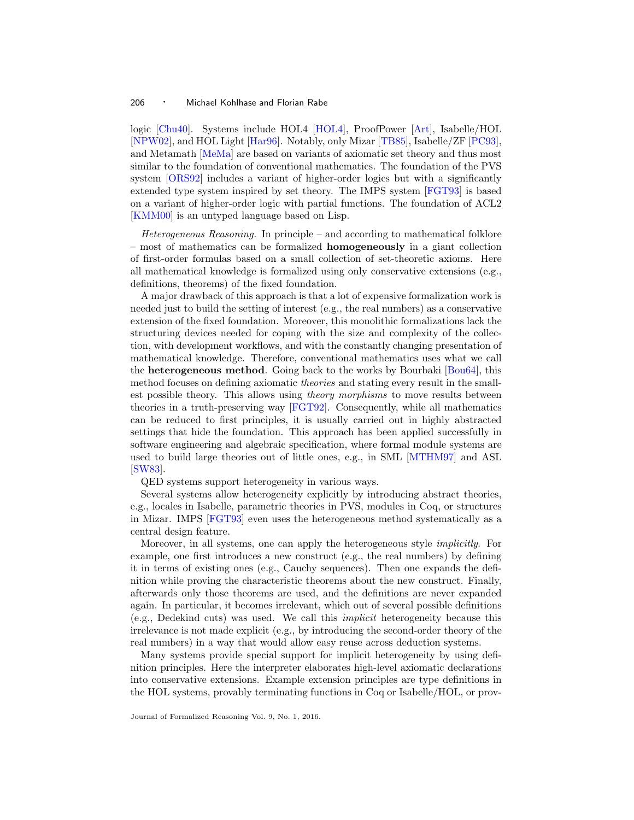logic [\[Chu40\]](#page-28-4). Systems include HOL4 [\[HOL4\]](#page-29-1), ProofPower [\[Art\]](#page-27-6), Isabelle/HOL [\[NPW02\]](#page-31-2), and HOL Light [\[Har96\]](#page-28-0). Notably, only Mizar [\[TB85\]](#page-33-1), Isabelle/ZF [\[PC93\]](#page-32-1), and Metamath [\[MeMa\]](#page-31-3) are based on variants of axiomatic set theory and thus most similar to the foundation of conventional mathematics. The foundation of the PVS system [\[ORS92\]](#page-31-4) includes a variant of higher-order logics but with a significantly extended type system inspired by set theory. The IMPS system [\[FGT93\]](#page-28-5) is based on a variant of higher-order logic with partial functions. The foundation of ACL2 [\[KMM00\]](#page-30-0) is an untyped language based on Lisp.

Heterogeneous Reasoning. In principle – and according to mathematical folklore – most of mathematics can be formalized homogeneously in a giant collection of first-order formulas based on a small collection of set-theoretic axioms. Here all mathematical knowledge is formalized using only conservative extensions (e.g., definitions, theorems) of the fixed foundation.

A major drawback of this approach is that a lot of expensive formalization work is needed just to build the setting of interest (e.g., the real numbers) as a conservative extension of the fixed foundation. Moreover, this monolithic formalizations lack the structuring devices needed for coping with the size and complexity of the collection, with development workflows, and with the constantly changing presentation of mathematical knowledge. Therefore, conventional mathematics uses what we call the heterogeneous method. Going back to the works by Bourbaki [\[Bou64\]](#page-27-7), this method focuses on defining axiomatic *theories* and stating every result in the smallest possible theory. This allows using theory morphisms to move results between theories in a truth-preserving way [\[FGT92\]](#page-28-6). Consequently, while all mathematics can be reduced to first principles, it is usually carried out in highly abstracted settings that hide the foundation. This approach has been applied successfully in software engineering and algebraic specification, where formal module systems are used to build large theories out of little ones, e.g., in SML [\[MTHM97\]](#page-31-5) and ASL [\[SW83\]](#page-33-5).

QED systems support heterogeneity in various ways.

Several systems allow heterogeneity explicitly by introducing abstract theories, e.g., locales in Isabelle, parametric theories in PVS, modules in Coq, or structures in Mizar. IMPS [\[FGT93\]](#page-28-5) even uses the heterogeneous method systematically as a central design feature.

Moreover, in all systems, one can apply the heterogeneous style implicitly. For example, one first introduces a new construct (e.g., the real numbers) by defining it in terms of existing ones (e.g., Cauchy sequences). Then one expands the definition while proving the characteristic theorems about the new construct. Finally, afterwards only those theorems are used, and the definitions are never expanded again. In particular, it becomes irrelevant, which out of several possible definitions (e.g., Dedekind cuts) was used. We call this implicit heterogeneity because this irrelevance is not made explicit (e.g., by introducing the second-order theory of the real numbers) in a way that would allow easy reuse across deduction systems.

Many systems provide special support for implicit heterogeneity by using definition principles. Here the interpreter elaborates high-level axiomatic declarations into conservative extensions. Example extension principles are type definitions in the HOL systems, provably terminating functions in Coq or Isabelle/HOL, or prov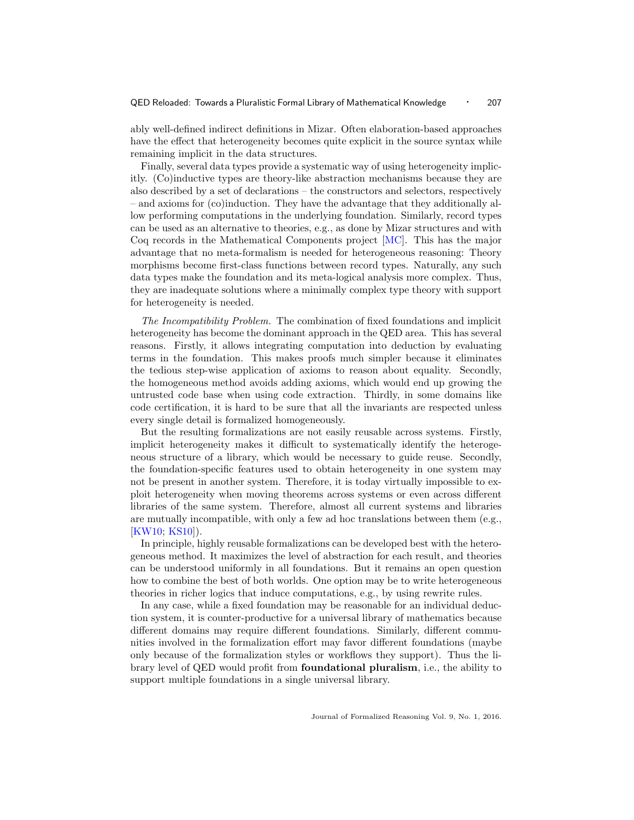ably well-defined indirect definitions in Mizar. Often elaboration-based approaches have the effect that heterogeneity becomes quite explicit in the source syntax while remaining implicit in the data structures.

Finally, several data types provide a systematic way of using heterogeneity implicitly. (Co)inductive types are theory-like abstraction mechanisms because they are also described by a set of declarations – the constructors and selectors, respectively – and axioms for (co)induction. They have the advantage that they additionally allow performing computations in the underlying foundation. Similarly, record types can be used as an alternative to theories, e.g., as done by Mizar structures and with Coq records in the Mathematical Components project [\[MC\]](#page-31-6). This has the major advantage that no meta-formalism is needed for heterogeneous reasoning: Theory morphisms become first-class functions between record types. Naturally, any such data types make the foundation and its meta-logical analysis more complex. Thus, they are inadequate solutions where a minimally complex type theory with support for heterogeneity is needed.

The Incompatibility Problem. The combination of fixed foundations and implicit heterogeneity has become the dominant approach in the QED area. This has several reasons. Firstly, it allows integrating computation into deduction by evaluating terms in the foundation. This makes proofs much simpler because it eliminates the tedious step-wise application of axioms to reason about equality. Secondly, the homogeneous method avoids adding axioms, which would end up growing the untrusted code base when using code extraction. Thirdly, in some domains like code certification, it is hard to be sure that all the invariants are respected unless every single detail is formalized homogeneously.

But the resulting formalizations are not easily reusable across systems. Firstly, implicit heterogeneity makes it difficult to systematically identify the heterogeneous structure of a library, which would be necessary to guide reuse. Secondly, the foundation-specific features used to obtain heterogeneity in one system may not be present in another system. Therefore, it is today virtually impossible to exploit heterogeneity when moving theorems across systems or even across different libraries of the same system. Therefore, almost all current systems and libraries are mutually incompatible, with only a few ad hoc translations between them (e.g., [\[KW10;](#page-31-7) [KS10\]](#page-31-8)).

In principle, highly reusable formalizations can be developed best with the heterogeneous method. It maximizes the level of abstraction for each result, and theories can be understood uniformly in all foundations. But it remains an open question how to combine the best of both worlds. One option may be to write heterogeneous theories in richer logics that induce computations, e.g., by using rewrite rules.

In any case, while a fixed foundation may be reasonable for an individual deduction system, it is counter-productive for a universal library of mathematics because different domains may require different foundations. Similarly, different communities involved in the formalization effort may favor different foundations (maybe only because of the formalization styles or workflows they support). Thus the library level of QED would profit from foundational pluralism, i.e., the ability to support multiple foundations in a single universal library.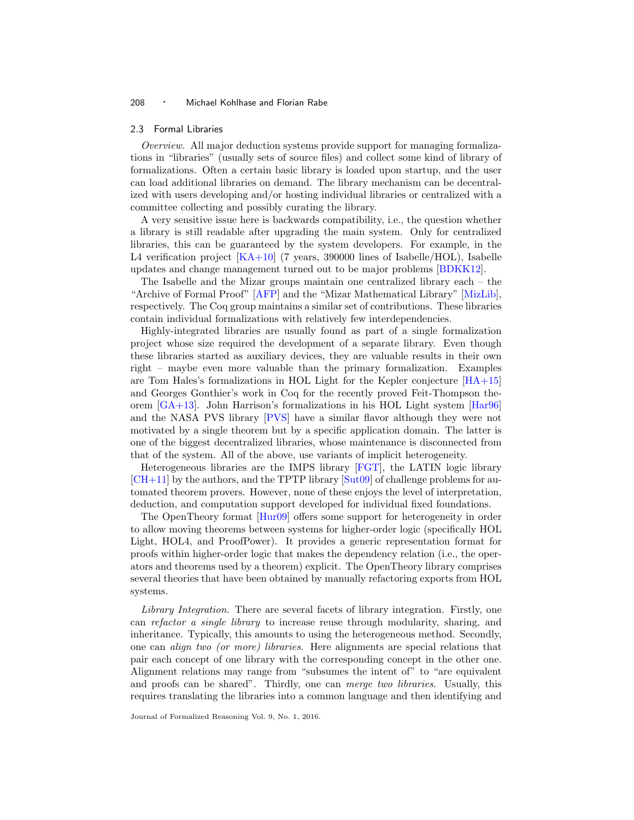#### <span id="page-7-0"></span>2.3 Formal Libraries

Overview. All major deduction systems provide support for managing formalizations in "libraries" (usually sets of source files) and collect some kind of library of formalizations. Often a certain basic library is loaded upon startup, and the user can load additional libraries on demand. The library mechanism can be decentralized with users developing and/or hosting individual libraries or centralized with a committee collecting and possibly curating the library.

A very sensitive issue here is backwards compatibility, i.e., the question whether a library is still readable after upgrading the main system. Only for centralized libraries, this can be guaranteed by the system developers. For example, in the L4 verification project  $[KA+10]$  (7 years, 390000 lines of Isabelle/HOL), Isabelle updates and change management turned out to be major problems [\[BDKK12\]](#page-27-8).

The Isabelle and the Mizar groups maintain one centralized library each – the "Archive of Formal Proof" [\[AFP\]](#page-27-9) and the "Mizar Mathematical Library" [\[MizLib\]](#page-31-9), respectively. The Coq group maintains a similar set of contributions. These libraries contain individual formalizations with relatively few interdependencies.

Highly-integrated libraries are usually found as part of a single formalization project whose size required the development of a separate library. Even though these libraries started as auxiliary devices, they are valuable results in their own right – maybe even more valuable than the primary formalization. Examples are Tom Hales's formalizations in HOL Light for the Kepler conjecture [\[HA+15\]](#page-28-2) and Georges Gonthier's work in Coq for the recently proved Feit-Thompson theorem [\[GA+13\]](#page-28-1). John Harrison's formalizations in his HOL Light system [\[Har96\]](#page-28-0) and the NASA PVS library [\[PVS\]](#page-32-2) have a similar flavor although they were not motivated by a single theorem but by a specific application domain. The latter is one of the biggest decentralized libraries, whose maintenance is disconnected from that of the system. All of the above, use variants of implicit heterogeneity.

Heterogeneous libraries are the IMPS library [\[FGT\]](#page-28-7), the LATIN logic library [\[CH+11\]](#page-28-8) by the authors, and the TPTP library [\[Sut09\]](#page-33-6) of challenge problems for automated theorem provers. However, none of these enjoys the level of interpretation, deduction, and computation support developed for individual fixed foundations.

The OpenTheory format [\[Hur09\]](#page-29-2) offers some support for heterogeneity in order to allow moving theorems between systems for higher-order logic (specifically HOL Light, HOL4, and ProofPower). It provides a generic representation format for proofs within higher-order logic that makes the dependency relation (i.e., the operators and theorems used by a theorem) explicit. The OpenTheory library comprises several theories that have been obtained by manually refactoring exports from HOL systems.

Library Integration. There are several facets of library integration. Firstly, one can refactor a single library to increase reuse through modularity, sharing, and inheritance. Typically, this amounts to using the heterogeneous method. Secondly, one can align two (or more) libraries. Here alignments are special relations that pair each concept of one library with the corresponding concept in the other one. Alignment relations may range from "subsumes the intent of" to "are equivalent and proofs can be shared". Thirdly, one can *merge two libraries*. Usually, this requires translating the libraries into a common language and then identifying and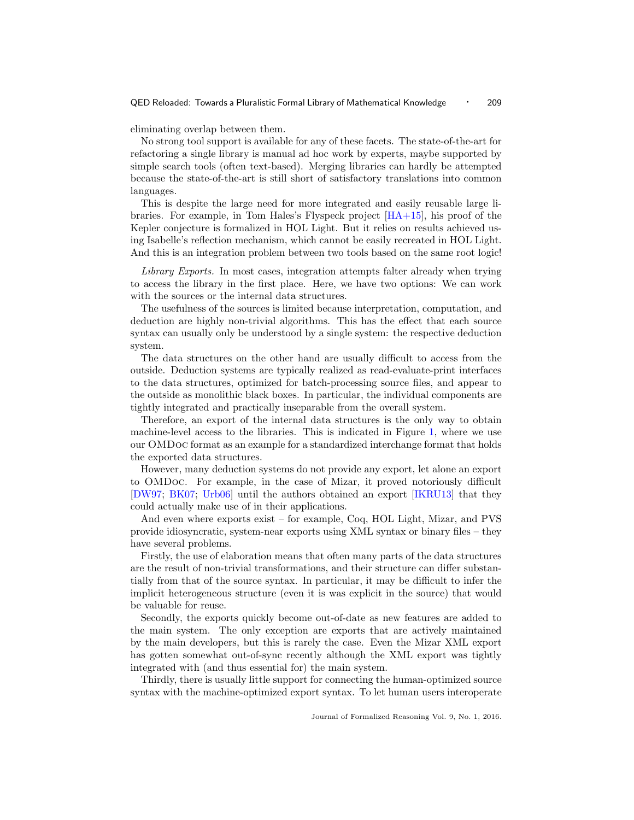#### QED Reloaded: Towards a Pluralistic Formal Library of Mathematical Knowledge · 209

eliminating overlap between them.

No strong tool support is available for any of these facets. The state-of-the-art for refactoring a single library is manual ad hoc work by experts, maybe supported by simple search tools (often text-based). Merging libraries can hardly be attempted because the state-of-the-art is still short of satisfactory translations into common languages.

This is despite the large need for more integrated and easily reusable large libraries. For example, in Tom Hales's Flyspeck project  $[\text{HA}+15]$ , his proof of the Kepler conjecture is formalized in HOL Light. But it relies on results achieved using Isabelle's reflection mechanism, which cannot be easily recreated in HOL Light. And this is an integration problem between two tools based on the same root logic!

Library Exports. In most cases, integration attempts falter already when trying to access the library in the first place. Here, we have two options: We can work with the sources or the internal data structures.

The usefulness of the sources is limited because interpretation, computation, and deduction are highly non-trivial algorithms. This has the effect that each source syntax can usually only be understood by a single system: the respective deduction system.

The data structures on the other hand are usually difficult to access from the outside. Deduction systems are typically realized as read-evaluate-print interfaces to the data structures, optimized for batch-processing source files, and appear to the outside as monolithic black boxes. In particular, the individual components are tightly integrated and practically inseparable from the overall system.

Therefore, an export of the internal data structures is the only way to obtain machine-level access to the libraries. This is indicated in Figure [1,](#page-3-0) where we use our OMDoc format as an example for a standardized interchange format that holds the exported data structures.

However, many deduction systems do not provide any export, let alone an export to OMDoc. For example, in the case of Mizar, it proved notoriously difficult [\[DW97;](#page-28-9) [BK07;](#page-27-10) [Urb06\]](#page-33-7) until the authors obtained an export [\[IKRU13\]](#page-29-3) that they could actually make use of in their applications.

And even where exports exist – for example, Coq, HOL Light, Mizar, and PVS provide idiosyncratic, system-near exports using XML syntax or binary files – they have several problems.

Firstly, the use of elaboration means that often many parts of the data structures are the result of non-trivial transformations, and their structure can differ substantially from that of the source syntax. In particular, it may be difficult to infer the implicit heterogeneous structure (even it is was explicit in the source) that would be valuable for reuse.

Secondly, the exports quickly become out-of-date as new features are added to the main system. The only exception are exports that are actively maintained by the main developers, but this is rarely the case. Even the Mizar XML export has gotten somewhat out-of-sync recently although the XML export was tightly integrated with (and thus essential for) the main system.

Thirdly, there is usually little support for connecting the human-optimized source syntax with the machine-optimized export syntax. To let human users interoperate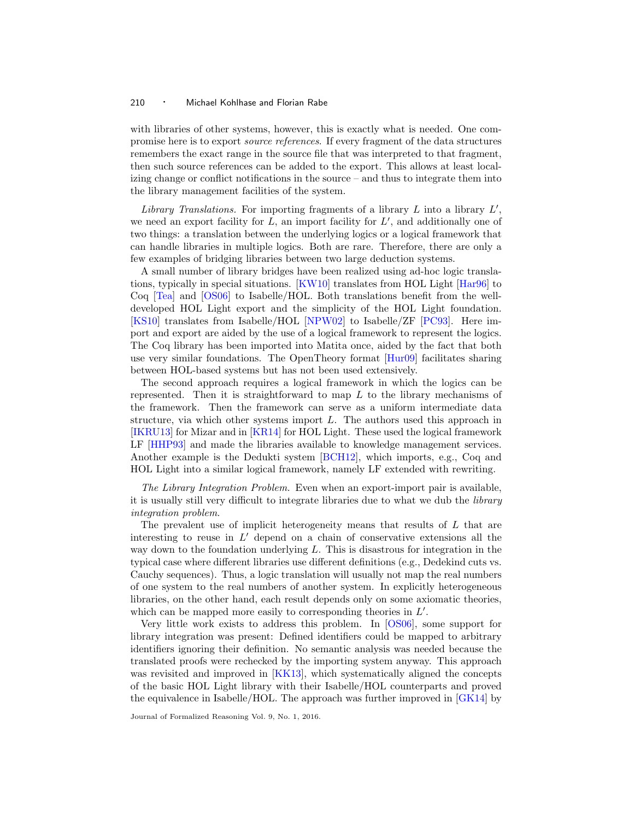with libraries of other systems, however, this is exactly what is needed. One compromise here is to export source references. If every fragment of the data structures remembers the exact range in the source file that was interpreted to that fragment, then such source references can be added to the export. This allows at least localizing change or conflict notifications in the source – and thus to integrate them into the library management facilities of the system.

Library Translations. For importing fragments of a library  $L$  into a library  $L'$ , we need an export facility for  $L$ , an import facility for  $L'$ , and additionally one of two things: a translation between the underlying logics or a logical framework that can handle libraries in multiple logics. Both are rare. Therefore, there are only a few examples of bridging libraries between two large deduction systems.

A small number of library bridges have been realized using ad-hoc logic translations, typically in special situations. [\[KW10\]](#page-31-7) translates from HOL Light [\[Har96\]](#page-28-0) to Coq [\[Tea\]](#page-33-2) and [\[OS06\]](#page-31-10) to Isabelle/HOL. Both translations benefit from the welldeveloped HOL Light export and the simplicity of the HOL Light foundation. [\[KS10\]](#page-31-8) translates from Isabelle/HOL [\[NPW02\]](#page-31-2) to Isabelle/ZF [\[PC93\]](#page-32-1). Here import and export are aided by the use of a logical framework to represent the logics. The Coq library has been imported into Matita once, aided by the fact that both use very similar foundations. The OpenTheory format [\[Hur09\]](#page-29-2) facilitates sharing between HOL-based systems but has not been used extensively.

The second approach requires a logical framework in which the logics can be represented. Then it is straightforward to map  $L$  to the library mechanisms of the framework. Then the framework can serve as a uniform intermediate data structure, via which other systems import  $L$ . The authors used this approach in [\[IKRU13\]](#page-29-3) for Mizar and in [\[KR14\]](#page-31-11) for HOL Light. These used the logical framework LF [\[HHP93\]](#page-28-10) and made the libraries available to knowledge management services. Another example is the Dedukti system [\[BCH12\]](#page-27-11), which imports, e.g., Coq and HOL Light into a similar logical framework, namely LF extended with rewriting.

The Library Integration Problem. Even when an export-import pair is available, it is usually still very difficult to integrate libraries due to what we dub the library integration problem.

The prevalent use of implicit heterogeneity means that results of L that are interesting to reuse in  $L'$  depend on a chain of conservative extensions all the way down to the foundation underlying  $L$ . This is disastrous for integration in the typical case where different libraries use different definitions (e.g., Dedekind cuts vs. Cauchy sequences). Thus, a logic translation will usually not map the real numbers of one system to the real numbers of another system. In explicitly heterogeneous libraries, on the other hand, each result depends only on some axiomatic theories, which can be mapped more easily to corresponding theories in  $L'$ .

Very little work exists to address this problem. In [\[OS06\]](#page-31-10), some support for library integration was present: Defined identifiers could be mapped to arbitrary identifiers ignoring their definition. No semantic analysis was needed because the translated proofs were rechecked by the importing system anyway. This approach was revisited and improved in [\[KK13\]](#page-30-2), which systematically aligned the concepts of the basic HOL Light library with their Isabelle/HOL counterparts and proved the equivalence in Isabelle/HOL. The approach was further improved in [\[GK14\]](#page-28-11) by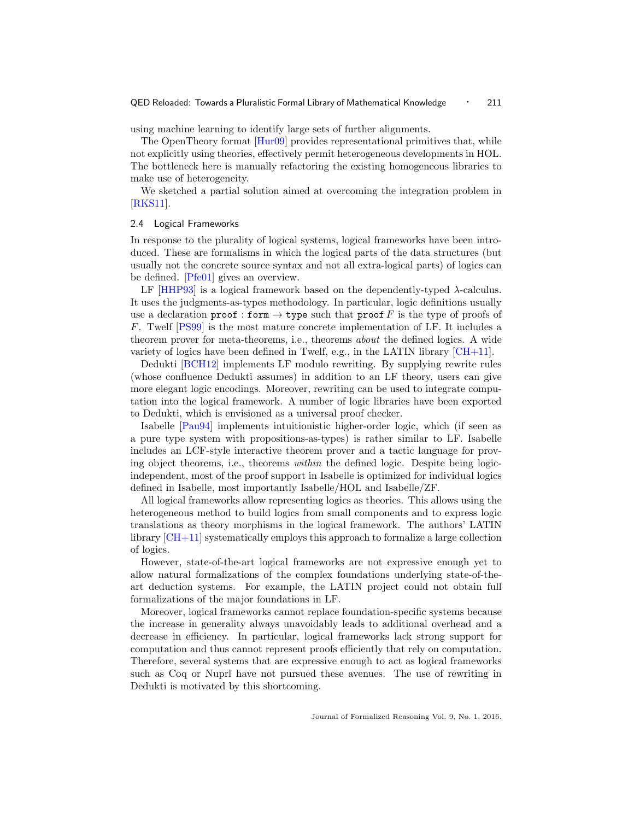using machine learning to identify large sets of further alignments.

The OpenTheory format [\[Hur09\]](#page-29-2) provides representational primitives that, while not explicitly using theories, effectively permit heterogeneous developments in HOL. The bottleneck here is manually refactoring the existing homogeneous libraries to make use of heterogeneity.

We sketched a partial solution aimed at overcoming the integration problem in [\[RKS11\]](#page-32-3).

#### 2.4 Logical Frameworks

In response to the plurality of logical systems, logical frameworks have been introduced. These are formalisms in which the logical parts of the data structures (but usually not the concrete source syntax and not all extra-logical parts) of logics can be defined. [\[Pfe01\]](#page-32-0) gives an overview.

LF  $[HHP93]$  is a logical framework based on the dependently-typed  $\lambda$ -calculus. It uses the judgments-as-types methodology. In particular, logic definitions usually use a declaration proof : form  $\rightarrow$  type such that proof F is the type of proofs of F. Twelf [\[PS99\]](#page-32-4) is the most mature concrete implementation of LF. It includes a theorem prover for meta-theorems, i.e., theorems about the defined logics. A wide variety of logics have been defined in Twelf, e.g., in the LATIN library  $[CH+11]$ .

Dedukti [\[BCH12\]](#page-27-11) implements LF modulo rewriting. By supplying rewrite rules (whose confluence Dedukti assumes) in addition to an LF theory, users can give more elegant logic encodings. Moreover, rewriting can be used to integrate computation into the logical framework. A number of logic libraries have been exported to Dedukti, which is envisioned as a universal proof checker.

Isabelle [\[Pau94\]](#page-32-5) implements intuitionistic higher-order logic, which (if seen as a pure type system with propositions-as-types) is rather similar to LF. Isabelle includes an LCF-style interactive theorem prover and a tactic language for proving object theorems, i.e., theorems within the defined logic. Despite being logicindependent, most of the proof support in Isabelle is optimized for individual logics defined in Isabelle, most importantly Isabelle/HOL and Isabelle/ZF.

All logical frameworks allow representing logics as theories. This allows using the heterogeneous method to build logics from small components and to express logic translations as theory morphisms in the logical framework. The authors' LATIN library  $\lfloor$  CH+11 $\rfloor$  systematically employs this approach to formalize a large collection of logics.

However, state-of-the-art logical frameworks are not expressive enough yet to allow natural formalizations of the complex foundations underlying state-of-theart deduction systems. For example, the LATIN project could not obtain full formalizations of the major foundations in LF.

Moreover, logical frameworks cannot replace foundation-specific systems because the increase in generality always unavoidably leads to additional overhead and a decrease in efficiency. In particular, logical frameworks lack strong support for computation and thus cannot represent proofs efficiently that rely on computation. Therefore, several systems that are expressive enough to act as logical frameworks such as Coq or Nuprl have not pursued these avenues. The use of rewriting in Dedukti is motivated by this shortcoming.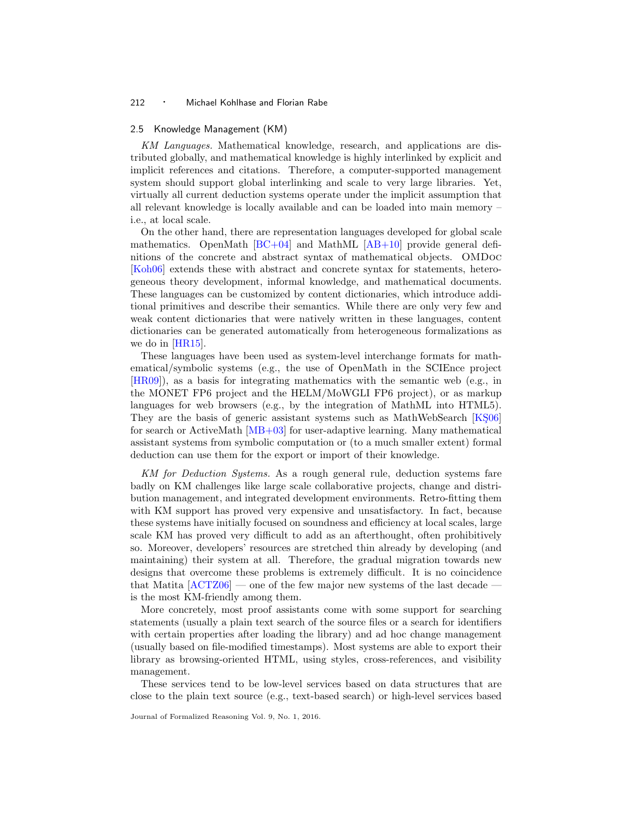#### 2.5 Knowledge Management (KM)

KM Languages. Mathematical knowledge, research, and applications are distributed globally, and mathematical knowledge is highly interlinked by explicit and implicit references and citations. Therefore, a computer-supported management system should support global interlinking and scale to very large libraries. Yet, virtually all current deduction systems operate under the implicit assumption that all relevant knowledge is locally available and can be loaded into main memory – i.e., at local scale.

On the other hand, there are representation languages developed for global scale mathematics. OpenMath  $[BC+04]$  and MathML  $[AB+10]$  provide general definitions of the concrete and abstract syntax of mathematical objects. OMDoc [\[Koh06\]](#page-30-3) extends these with abstract and concrete syntax for statements, heterogeneous theory development, informal knowledge, and mathematical documents. These languages can be customized by content dictionaries, which introduce additional primitives and describe their semantics. While there are only very few and weak content dictionaries that were natively written in these languages, content dictionaries can be generated automatically from heterogeneous formalizations as we do in [\[HR15\]](#page-29-4).

These languages have been used as system-level interchange formats for mathematical/symbolic systems (e.g., the use of OpenMath in the SCIEnce project [\[HR09\]](#page-29-5)), as a basis for integrating mathematics with the semantic web (e.g., in the MONET FP6 project and the HELM/MoWGLI FP6 project), or as markup languages for web browsers (e.g., by the integration of MathML into HTML5). They are the basis of generic assistant systems such as MathWebSearch [KS06] for search or ActiveMath [\[MB+03\]](#page-31-13) for user-adaptive learning. Many mathematical assistant systems from symbolic computation or (to a much smaller extent) formal deduction can use them for the export or import of their knowledge.

KM for Deduction Systems. As a rough general rule, deduction systems fare badly on KM challenges like large scale collaborative projects, change and distribution management, and integrated development environments. Retro-fitting them with KM support has proved very expensive and unsatisfactory. In fact, because these systems have initially focused on soundness and efficiency at local scales, large scale KM has proved very difficult to add as an afterthought, often prohibitively so. Moreover, developers' resources are stretched thin already by developing (and maintaining) their system at all. Therefore, the gradual migration towards new designs that overcome these problems is extremely difficult. It is no coincidence that Matita  $[ACTZ06]$  — one of the few major new systems of the last decade is the most KM-friendly among them.

More concretely, most proof assistants come with some support for searching statements (usually a plain text search of the source files or a search for identifiers with certain properties after loading the library) and ad hoc change management (usually based on file-modified timestamps). Most systems are able to export their library as browsing-oriented HTML, using styles, cross-references, and visibility management.

These services tend to be low-level services based on data structures that are close to the plain text source (e.g., text-based search) or high-level services based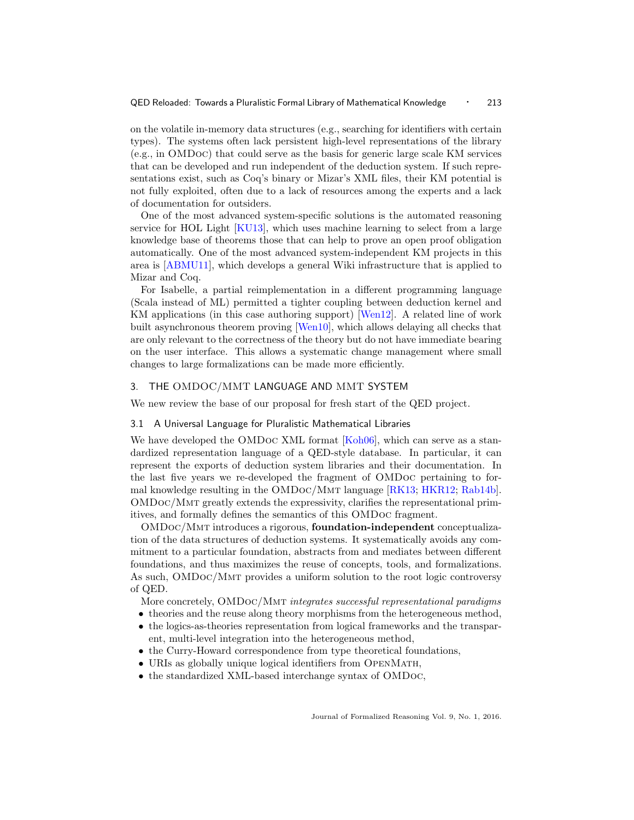on the volatile in-memory data structures (e.g., searching for identifiers with certain types). The systems often lack persistent high-level representations of the library (e.g., in OMDoc) that could serve as the basis for generic large scale KM services that can be developed and run independent of the deduction system. If such representations exist, such as Coq's binary or Mizar's XML files, their KM potential is not fully exploited, often due to a lack of resources among the experts and a lack of documentation for outsiders.

One of the most advanced system-specific solutions is the automated reasoning service for HOL Light [\[KU13\]](#page-31-14), which uses machine learning to select from a large knowledge base of theorems those that can help to prove an open proof obligation automatically. One of the most advanced system-independent KM projects in this area is [\[ABMU11\]](#page-27-14), which develops a general Wiki infrastructure that is applied to Mizar and Coq.

For Isabelle, a partial reimplementation in a different programming language (Scala instead of ML) permitted a tighter coupling between deduction kernel and KM applications (in this case authoring support) [\[Wen12\]](#page-33-8). A related line of work built asynchronous theorem proving [\[Wen10\]](#page-33-9), which allows delaying all checks that are only relevant to the correctness of the theory but do not have immediate bearing on the user interface. This allows a systematic change management where small changes to large formalizations can be made more efficiently.

#### <span id="page-12-1"></span>3. THE OMDOC/MMT LANGUAGE AND MMT SYSTEM

We new review the base of our proposal for fresh start of the QED project.

#### <span id="page-12-0"></span>3.1 A Universal Language for Pluralistic Mathematical Libraries

We have developed the OMDoc XML format [\[Koh06\]](#page-30-3), which can serve as a standardized representation language of a QED-style database. In particular, it can represent the exports of deduction system libraries and their documentation. In the last five years we re-developed the fragment of OMDoc pertaining to for-mal knowledge resulting in the OMDoc/MMT language [\[RK13;](#page-32-6) [HKR12;](#page-29-6) [Rab14b\]](#page-32-7). OMDoc/Mmt greatly extends the expressivity, clarifies the representational primitives, and formally defines the semantics of this OMDoc fragment.

OMDoc/Mmt introduces a rigorous, foundation-independent conceptualization of the data structures of deduction systems. It systematically avoids any commitment to a particular foundation, abstracts from and mediates between different foundations, and thus maximizes the reuse of concepts, tools, and formalizations. As such, OMDoc/Mmt provides a uniform solution to the root logic controversy of QED.

More concretely, OMDoc/MMT integrates successful representational paradigms

- theories and the reuse along theory morphisms from the heterogeneous method,
- the logics-as-theories representation from logical frameworks and the transparent, multi-level integration into the heterogeneous method,
- the Curry-Howard correspondence from type theoretical foundations,
- URIs as globally unique logical identifiers from OPENMATH,
- the standardized XML-based interchange syntax of OMDoc,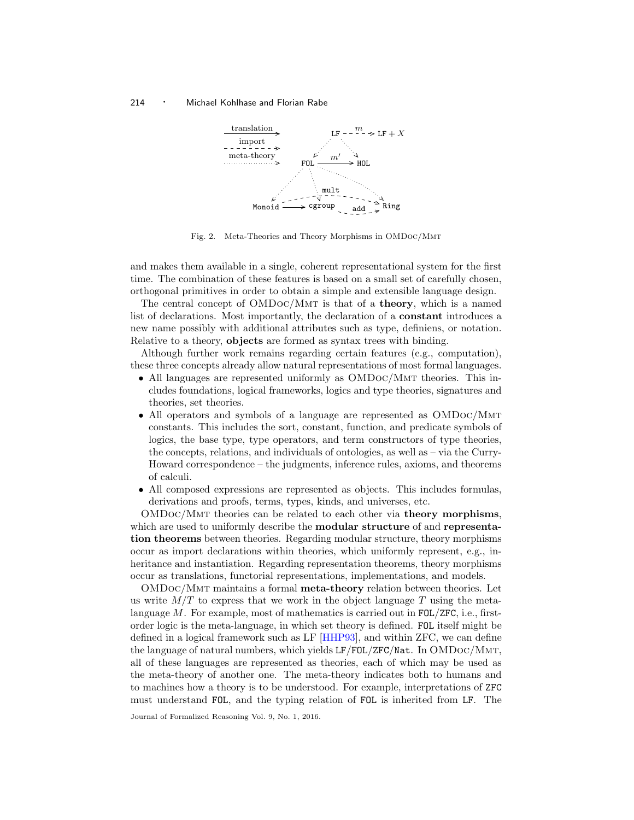

<span id="page-13-0"></span>Fig. 2. Meta-Theories and Theory Morphisms in OMDoc/Mmt

and makes them available in a single, coherent representational system for the first time. The combination of these features is based on a small set of carefully chosen, orthogonal primitives in order to obtain a simple and extensible language design.

The central concept of  $OMDoc/MMT$  is that of a **theory**, which is a named list of declarations. Most importantly, the declaration of a constant introduces a new name possibly with additional attributes such as type, definiens, or notation. Relative to a theory, objects are formed as syntax trees with binding.

Although further work remains regarding certain features (e.g., computation), these three concepts already allow natural representations of most formal languages.

- All languages are represented uniformly as OMDoc/MMT theories. This includes foundations, logical frameworks, logics and type theories, signatures and theories, set theories.
- All operators and symbols of a language are represented as OMDoc/Mmt constants. This includes the sort, constant, function, and predicate symbols of logics, the base type, type operators, and term constructors of type theories, the concepts, relations, and individuals of ontologies, as well as – via the Curry-Howard correspondence – the judgments, inference rules, axioms, and theorems of calculi.
- All composed expressions are represented as objects. This includes formulas, derivations and proofs, terms, types, kinds, and universes, etc.

OMDoc/Mmt theories can be related to each other via theory morphisms, which are used to uniformly describe the **modular structure** of and **representa**tion theorems between theories. Regarding modular structure, theory morphisms occur as import declarations within theories, which uniformly represent, e.g., inheritance and instantiation. Regarding representation theorems, theory morphisms occur as translations, functorial representations, implementations, and models.

OMDoc/Mmt maintains a formal meta-theory relation between theories. Let us write  $M/T$  to express that we work in the object language T using the metalanguage  $M$ . For example, most of mathematics is carried out in FOL/ZFC, i.e., firstorder logic is the meta-language, in which set theory is defined. FOL itself might be defined in a logical framework such as LF [\[HHP93\]](#page-28-10), and within ZFC, we can define the language of natural numbers, which yields LF/FOL/ZFC/Nat. In OMDoc/Mmt, all of these languages are represented as theories, each of which may be used as the meta-theory of another one. The meta-theory indicates both to humans and to machines how a theory is to be understood. For example, interpretations of ZFC must understand FOL, and the typing relation of FOL is inherited from LF. The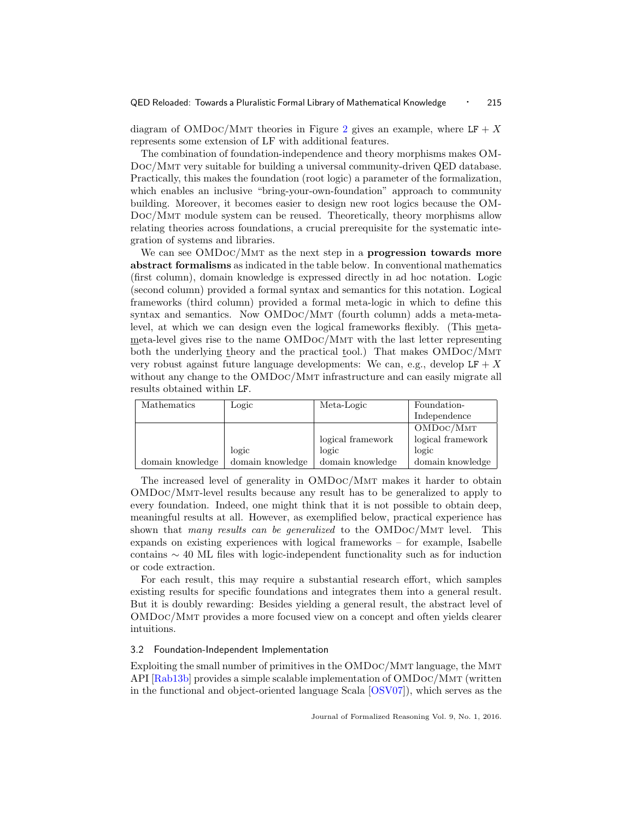diagram of OMDoc/MMT theories in Figure [2](#page-13-0) gives an example, where  $LF + X$ represents some extension of LF with additional features.

The combination of foundation-independence and theory morphisms makes OM-Doc/Mmt very suitable for building a universal community-driven QED database. Practically, this makes the foundation (root logic) a parameter of the formalization, which enables an inclusive "bring-your-own-foundation" approach to community building. Moreover, it becomes easier to design new root logics because the OM-Doc/Mmt module system can be reused. Theoretically, theory morphisms allow relating theories across foundations, a crucial prerequisite for the systematic integration of systems and libraries.

We can see OMDoc/MMT as the next step in a **progression towards more** abstract formalisms as indicated in the table below. In conventional mathematics (first column), domain knowledge is expressed directly in ad hoc notation. Logic (second column) provided a formal syntax and semantics for this notation. Logical frameworks (third column) provided a formal meta-logic in which to define this syntax and semantics. Now OMDoc/Mmt (fourth column) adds a meta-metalevel, at which we can design even the logical frameworks flexibly. (This meta $meta$ -level gives rise to the name  $OMDoc/MMT$  with the last letter representing both the underlying theory and the practical tool.) That makes OMDoc/Mmt very robust against future language developments: We can, e.g., develop  $LF + X$ without any change to the OMDoc/MMT infrastructure and can easily migrate all results obtained within LF.

| Mathematics      | Logic            | Meta-Logic        | Foundation-       |
|------------------|------------------|-------------------|-------------------|
|                  |                  |                   | Independence      |
|                  |                  |                   | OMDoc/MMT         |
|                  |                  | logical framework | logical framework |
|                  | logic            | logic             | logic             |
| domain knowledge | domain knowledge | domain knowledge  | domain knowledge  |

The increased level of generality in OMDoc/Mmt makes it harder to obtain OMDoc/Mmt-level results because any result has to be generalized to apply to every foundation. Indeed, one might think that it is not possible to obtain deep, meaningful results at all. However, as exemplified below, practical experience has shown that many results can be generalized to the OMDoc/MMT level. This expands on existing experiences with logical frameworks – for example, Isabelle contains ∼ 40 ML files with logic-independent functionality such as for induction or code extraction.

For each result, this may require a substantial research effort, which samples existing results for specific foundations and integrates them into a general result. But it is doubly rewarding: Besides yielding a general result, the abstract level of OMDoc/Mmt provides a more focused view on a concept and often yields clearer intuitions.

#### <span id="page-14-0"></span>3.2 Foundation-Independent Implementation

Exploiting the small number of primitives in the OMDoc/Mmt language, the Mmt API [\[Rab13b\]](#page-32-8) provides a simple scalable implementation of OMDoc/Mmt (written in the functional and object-oriented language Scala [\[OSV07\]](#page-32-9)), which serves as the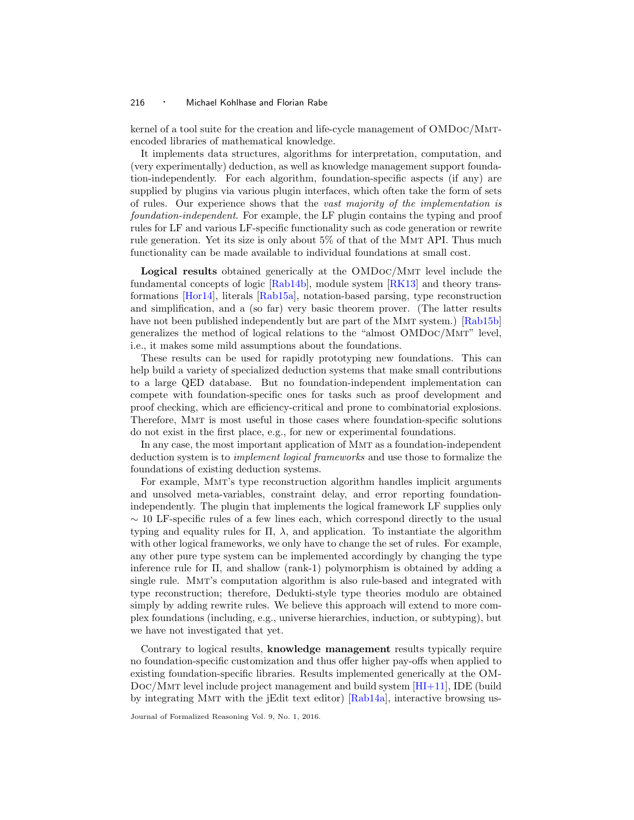kernel of a tool suite for the creation and life-cycle management of OMDoc/Mmtencoded libraries of mathematical knowledge.

It implements data structures, algorithms for interpretation, computation, and (very experimentally) deduction, as well as knowledge management support foundation-independently. For each algorithm, foundation-specific aspects (if any) are supplied by plugins via various plugin interfaces, which often take the form of sets of rules. Our experience shows that the vast majority of the implementation is foundation-independent. For example, the LF plugin contains the typing and proof rules for LF and various LF-specific functionality such as code generation or rewrite rule generation. Yet its size is only about 5% of that of the Mmt API. Thus much functionality can be made available to individual foundations at small cost.

Logical results obtained generically at the OMDoc/Mmt level include the fundamental concepts of logic [\[Rab14b\]](#page-32-7), module system [\[RK13\]](#page-32-6) and theory transformations [\[Hor14\]](#page-29-7), literals [\[Rab15a\]](#page-32-10), notation-based parsing, type reconstruction and simplification, and a (so far) very basic theorem prover. (The latter results have not been published independently but are part of the MMT system.) [\[Rab15b\]](#page-32-11) generalizes the method of logical relations to the "almost OMDoc/Mmt" level, i.e., it makes some mild assumptions about the foundations.

These results can be used for rapidly prototyping new foundations. This can help build a variety of specialized deduction systems that make small contributions to a large QED database. But no foundation-independent implementation can compete with foundation-specific ones for tasks such as proof development and proof checking, which are efficiency-critical and prone to combinatorial explosions. Therefore, Mmt is most useful in those cases where foundation-specific solutions do not exist in the first place, e.g., for new or experimental foundations.

In any case, the most important application of Mmt as a foundation-independent deduction system is to implement logical frameworks and use those to formalize the foundations of existing deduction systems.

For example, Mmt's type reconstruction algorithm handles implicit arguments and unsolved meta-variables, constraint delay, and error reporting foundationindependently. The plugin that implements the logical framework LF supplies only  $\sim$  10 LF-specific rules of a few lines each, which correspond directly to the usual typing and equality rules for  $\Pi$ ,  $\lambda$ , and application. To instantiate the algorithm with other logical frameworks, we only have to change the set of rules. For example, any other pure type system can be implemented accordingly by changing the type inference rule for  $\Pi$ , and shallow (rank-1) polymorphism is obtained by adding a single rule. Mmt's computation algorithm is also rule-based and integrated with type reconstruction; therefore, Dedukti-style type theories modulo are obtained simply by adding rewrite rules. We believe this approach will extend to more complex foundations (including, e.g., universe hierarchies, induction, or subtyping), but we have not investigated that yet.

Contrary to logical results, knowledge management results typically require no foundation-specific customization and thus offer higher pay-offs when applied to existing foundation-specific libraries. Results implemented generically at the OM-Doc/Mmt level include project management and build system [\[HI+11\]](#page-29-8), IDE (build by integrating Mmt with the jEdit text editor) [\[Rab14a\]](#page-32-12), interactive browsing us-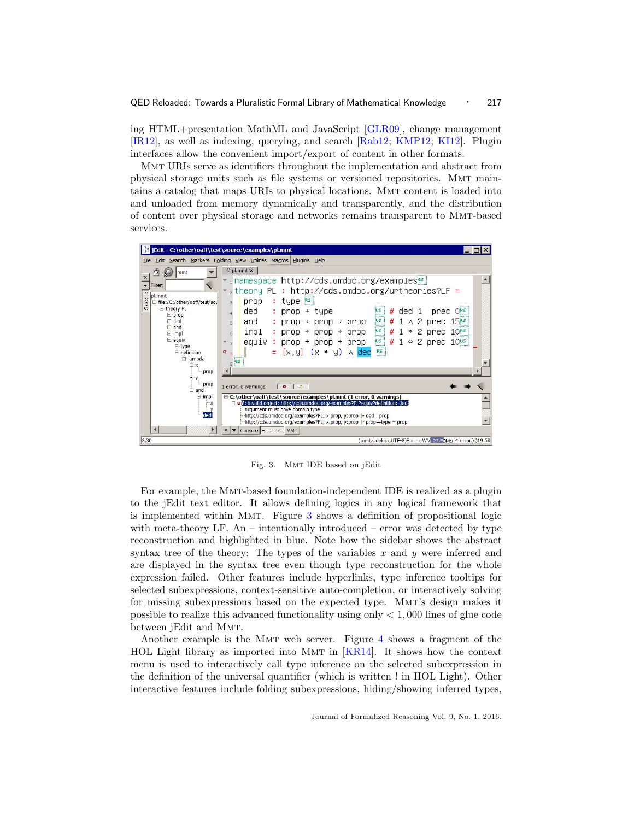ing HTML+presentation MathML and JavaScript [\[GLR09\]](#page-28-12), change management [\[IR12\]](#page-29-9), as well as indexing, querying, and search [\[Rab12;](#page-32-13) [KMP12;](#page-30-4) [KI12\]](#page-30-5). Plugin interfaces allow the convenient import/export of content in other formats.

Mmt URIs serve as identifiers throughout the implementation and abstract from physical storage units such as file systems or versioned repositories. Mmt maintains a catalog that maps URIs to physical locations. Mmt content is loaded into and unloaded from memory dynamically and transparently, and the distribution of content over physical storage and networks remains transparent to Mmt-based services.



Fig. 3. Mmt IDE based on jEdit

<span id="page-16-0"></span>For example, the Mmt-based foundation-independent IDE is realized as a plugin to the jEdit text editor. It allows defining logics in any logical framework that is implemented within Mmt. Figure [3](#page-16-0) shows a definition of propositional logic with meta-theory LF. An – intentionally introduced – error was detected by type reconstruction and highlighted in blue. Note how the sidebar shows the abstract syntax tree of the theory: The types of the variables  $x$  and  $y$  were inferred and are displayed in the syntax tree even though type reconstruction for the whole expression failed. Other features include hyperlinks, type inference tooltips for selected subexpressions, context-sensitive auto-completion, or interactively solving for missing subexpressions based on the expected type. MMT's design makes it possible to realize this advanced functionality using only  $\lt 1,000$  lines of glue code between jEdit and MMT.

Another example is the Mmt web server. Figure [4](#page-17-1) shows a fragment of the HOL Light library as imported into MMT in  $|KR14|$ . It shows how the context menu is used to interactively call type inference on the selected subexpression in the definition of the universal quantifier (which is written ! in HOL Light). Other interactive features include folding subexpressions, hiding/showing inferred types,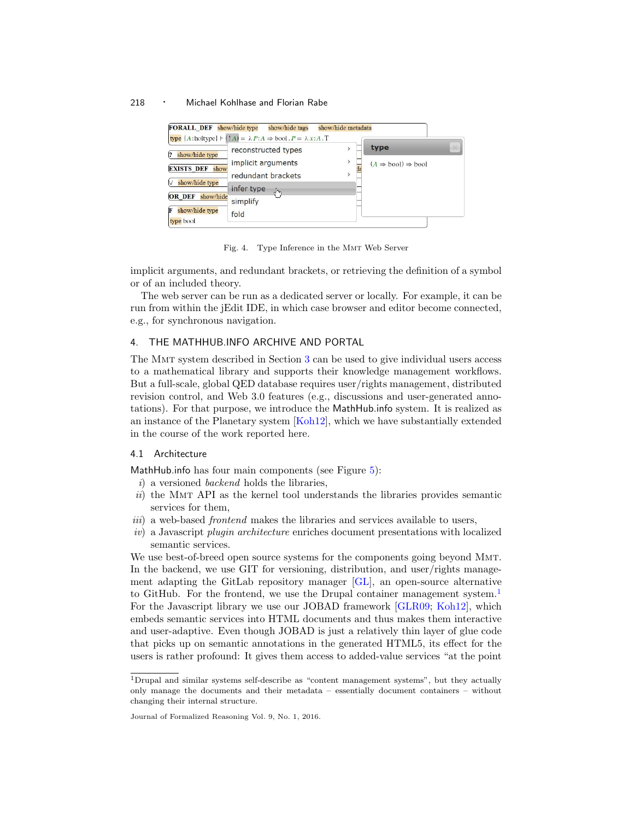| <b>FORALL DEF</b> show/hide type      | show/hide tags                                                                                                                     | show/hide metadata |                                                       |                 |
|---------------------------------------|------------------------------------------------------------------------------------------------------------------------------------|--------------------|-------------------------------------------------------|-----------------|
| show/hide type                        | type $\{A:\text{holtype}\}\vdash (\mathop{!} A)=\lambda P:A\Rightarrow \text{bool}\, . P=\lambda x:A\, . T$<br>reconstructed types | $\mathbf{r}$       | type                                                  | $\mathcal{M}_n$ |
| <b>EXISTS DEF</b> show                | implicit arguments<br>redundant brackets                                                                                           | ><br>$\mathbf{r}$  | $(A \Rightarrow \text{bool}) \Rightarrow \text{bool}$ |                 |
| show/hide type<br>OR DEF<br>show/hide | infer type<br>ժԻլ<br>simplify                                                                                                      |                    |                                                       |                 |
| show/hide type<br>type bool           | fold                                                                                                                               |                    |                                                       |                 |

<span id="page-17-1"></span>Fig. 4. Type Inference in the Mmt Web Server

implicit arguments, and redundant brackets, or retrieving the definition of a symbol or of an included theory.

The web server can be run as a dedicated server or locally. For example, it can be run from within the jEdit IDE, in which case browser and editor become connected, e.g., for synchronous navigation.

# <span id="page-17-0"></span>4. THE MATHHUB.INFO ARCHIVE AND PORTAL

The Mmt system described in Section [3](#page-12-1) can be used to give individual users access to a mathematical library and supports their knowledge management workflows. But a full-scale, global QED database requires user/rights management, distributed revision control, and Web 3.0 features (e.g., discussions and user-generated annotations). For that purpose, we introduce the MathHub.info system. It is realized as an instance of the Planetary system [\[Koh12\]](#page-30-6), which we have substantially extended in the course of the work reported here.

# 4.1 Architecture

MathHub.info has four main components (see Figure  $5$ ):

- i) a versioned backend holds the libraries,
- $ii)$  the MMT API as the kernel tool understands the libraries provides semantic services for them,
- iii) a web-based *frontend* makes the libraries and services available to users,
- iv) a Javascript plugin architecture enriches document presentations with localized semantic services.

We use best-of-breed open source systems for the components going beyond Mmt. In the backend, we use GIT for versioning, distribution, and user/rights management adapting the GitLab repository manager [\[GL\]](#page-28-13), an open-source alternative to GitHub. For the frontend, we use the Drupal container management system.<sup>[1](#page-17-2)</sup> For the Javascript library we use our JOBAD framework [\[GLR09;](#page-28-12) [Koh12\]](#page-30-6), which embeds semantic services into HTML documents and thus makes them interactive and user-adaptive. Even though JOBAD is just a relatively thin layer of glue code that picks up on semantic annotations in the generated HTML5, its effect for the users is rather profound: It gives them access to added-value services "at the point

<span id="page-17-2"></span><sup>1</sup>Drupal and similar systems self-describe as "content management systems", but they actually only manage the documents and their metadata – essentially document containers – without changing their internal structure.

Journal of Formalized Reasoning Vol. 9, No. 1, 2016.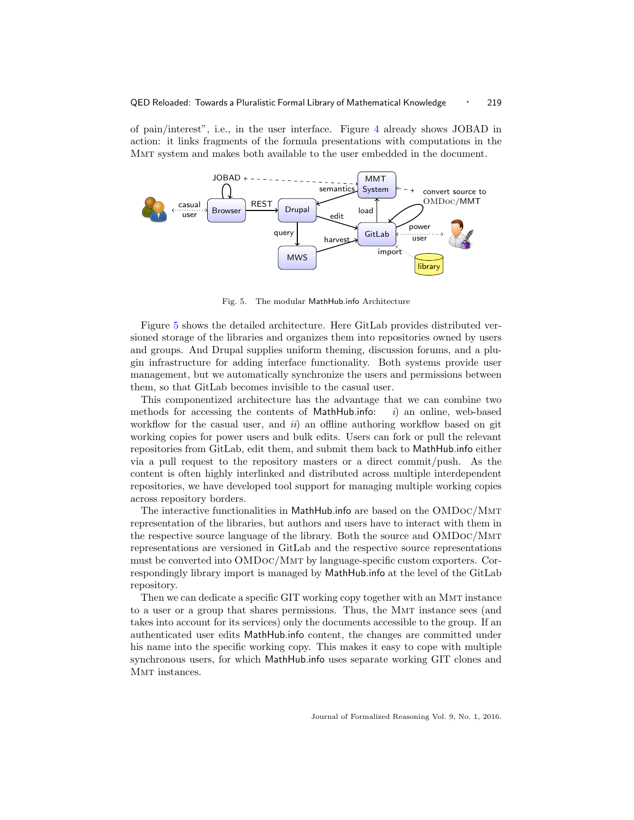of pain/interest", i.e., in the user interface. Figure [4](#page-17-1) already shows JOBAD in action: it links fragments of the formula presentations with computations in the Mmt system and makes both available to the user embedded in the document.



<span id="page-18-0"></span>Fig. 5. The modular MathHub.info Architecture

Figure [5](#page-18-0) shows the detailed architecture. Here GitLab provides distributed versioned storage of the libraries and organizes them into repositories owned by users and groups. And Drupal supplies uniform theming, discussion forums, and a plugin infrastructure for adding interface functionality. Both systems provide user management, but we automatically synchronize the users and permissions between them, so that GitLab becomes invisible to the casual user.

This componentized architecture has the advantage that we can combine two methods for accessing the contents of MathHub.info:  $i)$  an online, web-based workflow for the casual user, and  $ii$  an offline authoring workflow based on git working copies for power users and bulk edits. Users can fork or pull the relevant repositories from GitLab, edit them, and submit them back to MathHub.info either via a pull request to the repository masters or a direct commit/push. As the content is often highly interlinked and distributed across multiple interdependent repositories, we have developed tool support for managing multiple working copies across repository borders.

The interactive functionalities in MathHub.info are based on the OMDoc/Mmt representation of the libraries, but authors and users have to interact with them in the respective source language of the library. Both the source and OMDoc/Mmt representations are versioned in GitLab and the respective source representations must be converted into OMDoc/Mmt by language-specific custom exporters. Correspondingly library import is managed by MathHub.info at the level of the GitLab repository.

Then we can dedicate a specific GIT working copy together with an Mmt instance to a user or a group that shares permissions. Thus, the MMT instance sees (and takes into account for its services) only the documents accessible to the group. If an authenticated user edits MathHub.info content, the changes are committed under his name into the specific working copy. This makes it easy to cope with multiple synchronous users, for which MathHub.info uses separate working GIT clones and MMT instances.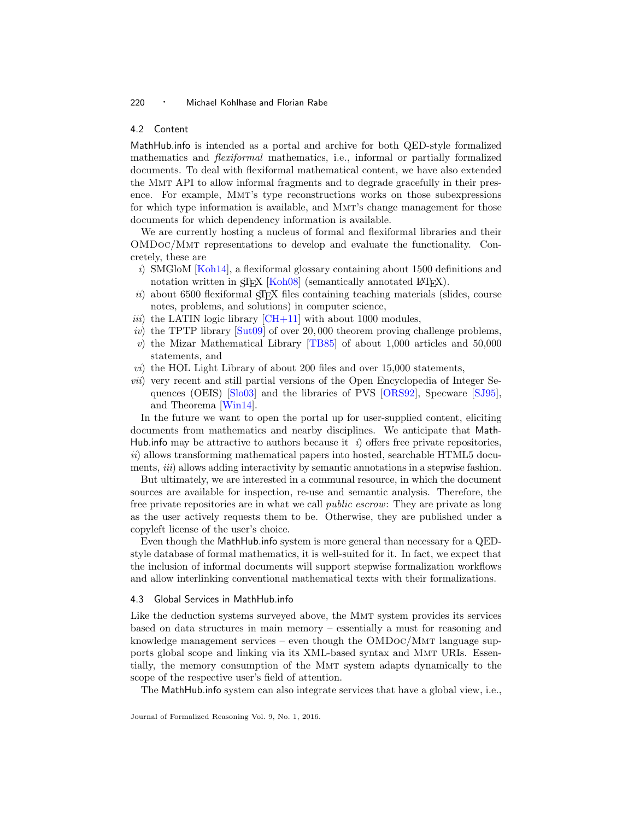#### <span id="page-19-0"></span>4.2 Content

MathHub.info is intended as a portal and archive for both QED-style formalized mathematics and flexiformal mathematics, i.e., informal or partially formalized documents. To deal with flexiformal mathematical content, we have also extended the Mmt API to allow informal fragments and to degrade gracefully in their presence. For example, Mmt's type reconstructions works on those subexpressions for which type information is available, and Mmt's change management for those documents for which dependency information is available.

We are currently hosting a nucleus of formal and flexiformal libraries and their OMDoc/Mmt representations to develop and evaluate the functionality. Concretely, these are

- i) SMGloM  $\overline{Koh14}$ , a flexiformal glossary containing about 1500 definitions and notation written in SIEX [\[Koh08\]](#page-30-8) (semantically annotated LATEX).
- $ii)$  about 6500 flexiformal  $SIFX$  files containing teaching materials (slides, course notes, problems, and solutions) in computer science,
- *iii*) the LATIN logic library  $\left[CH+11\right]$  with about 1000 modules,
- iv) the TPTP library  $[Sut09]$  of over 20,000 theorem proving challenge problems,
- v) the Mizar Mathematical Library [\[TB85\]](#page-33-1) of about 1,000 articles and 50,000 statements, and
- vi) the HOL Light Library of about 200 files and over 15,000 statements,
- vii) very recent and still partial versions of the Open Encyclopedia of Integer Sequences (OEIS) [\[Slo03\]](#page-33-10) and the libraries of PVS [\[ORS92\]](#page-31-4), Specware [\[SJ95\]](#page-32-14), and Theorema [\[Win14\]](#page-33-11).

In the future we want to open the portal up for user-supplied content, eliciting documents from mathematics and nearby disciplines. We anticipate that Math-Hub. informal be attractive to authors because it *i*) offers free private repositories,  $ii)$  allows transforming mathematical papers into hosted, searchable HTML5 documents, *iii*) allows adding interactivity by semantic annotations in a stepwise fashion.

But ultimately, we are interested in a communal resource, in which the document sources are available for inspection, re-use and semantic analysis. Therefore, the free private repositories are in what we call public escrow: They are private as long as the user actively requests them to be. Otherwise, they are published under a copyleft license of the user's choice.

Even though the MathHub.info system is more general than necessary for a QEDstyle database of formal mathematics, it is well-suited for it. In fact, we expect that the inclusion of informal documents will support stepwise formalization workflows and allow interlinking conventional mathematical texts with their formalizations.

## 4.3 Global Services in MathHub.info

Like the deduction systems surveyed above, the MMT system provides its services based on data structures in main memory – essentially a must for reasoning and knowledge management services – even though the OMDoc/Mmt language supports global scope and linking via its XML-based syntax and Mmt URIs. Essentially, the memory consumption of the Mmt system adapts dynamically to the scope of the respective user's field of attention.

The MathHub.info system can also integrate services that have a global view, i.e.,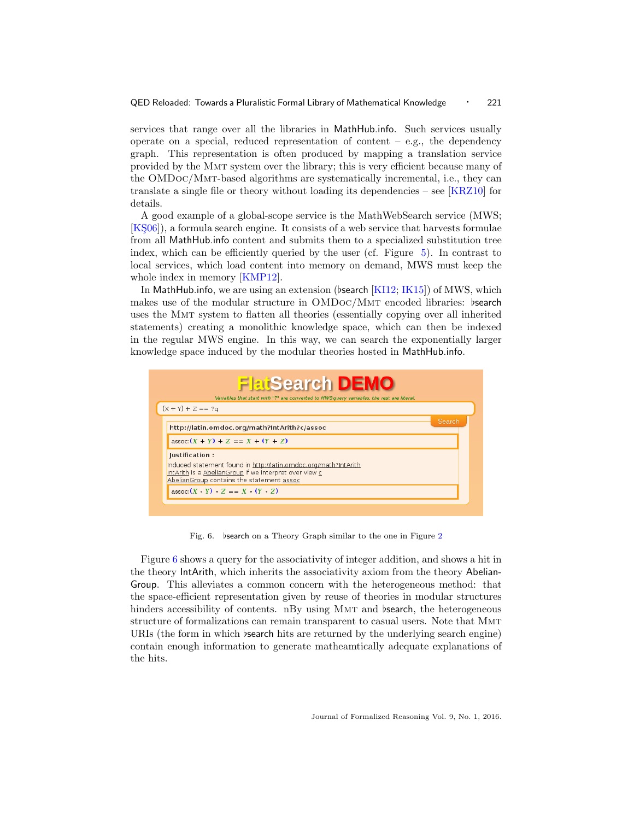services that range over all the libraries in MathHub.info. Such services usually operate on a special, reduced representation of content  $-$  e.g., the dependency graph. This representation is often produced by mapping a translation service provided by the Mmt system over the library; this is very efficient because many of the OMDoc/Mmt-based algorithms are systematically incremental, i.e., they can translate a single file or theory without loading its dependencies – see  $[KRZ10]$  for details.

A good example of a global-scope service is the MathWebSearch service (MWS;  $[K506]$ , a formula search engine. It consists of a web service that harvests formulae from all MathHub.info content and submits them to a specialized substitution tree index, which can be efficiently queried by the user (cf. Figure [5\)](#page-18-0). In contrast to local services, which load content into memory on demand, MWS must keep the whole index in memory [\[KMP12\]](#page-30-4).

In MathHub.info, we are using an extension (bsearch  $[KII2; IK15]$  $[KII2; IK15]$ ) of MWS, which makes use of the modular structure in OMDoc/MMT encoded libraries: bsearch uses the Mmt system to flatten all theories (essentially copying over all inherited statements) creating a monolithic knowledge space, which can then be indexed in the regular MWS engine. In this way, we can search the exponentially larger knowledge space induced by the modular theories hosted in MathHub.info.



<span id="page-20-0"></span>Fig. 6. bsearch on a Theory Graph similar to the one in Figure [2](#page-13-0)

Figure [6](#page-20-0) shows a query for the associativity of integer addition, and shows a hit in the theory IntArith, which inherits the associativity axiom from the theory Abelian-Group. This alleviates a common concern with the heterogeneous method: that the space-efficient representation given by reuse of theories in modular structures hinders accessibility of contents. nBy using MMT and bearch, the heterogeneous structure of formalizations can remain transparent to casual users. Note that Mmt URIs (the form in which bearch hits are returned by the underlying search engine) contain enough information to generate matheamtically adequate explanations of the hits.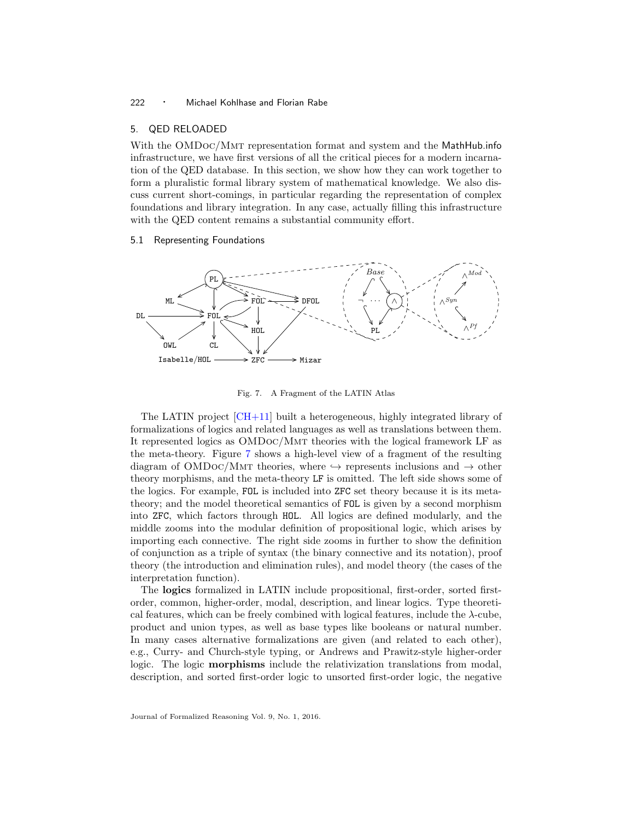#### <span id="page-21-0"></span>5. QED RELOADED

With the OMDoc/MMT representation format and system and the MathHub.info infrastructure, we have first versions of all the critical pieces for a modern incarnation of the QED database. In this section, we show how they can work together to form a pluralistic formal library system of mathematical knowledge. We also discuss current short-comings, in particular regarding the representation of complex foundations and library integration. In any case, actually filling this infrastructure with the QED content remains a substantial community effort.

#### <span id="page-21-1"></span>5.1 Representing Foundations



<span id="page-21-2"></span>Fig. 7. A Fragment of the LATIN Atlas

The LATIN project [\[CH+11\]](#page-28-8) built a heterogeneous, highly integrated library of formalizations of logics and related languages as well as translations between them. It represented logics as OMDoc/Mmt theories with the logical framework LF as the meta-theory. Figure [7](#page-21-2) shows a high-level view of a fragment of the resulting diagram of OMDOC/MMT theories, where  $\rightarrow$  represents inclusions and  $\rightarrow$  other theory morphisms, and the meta-theory LF is omitted. The left side shows some of the logics. For example, FOL is included into ZFC set theory because it is its metatheory; and the model theoretical semantics of FOL is given by a second morphism into ZFC, which factors through HOL. All logics are defined modularly, and the middle zooms into the modular definition of propositional logic, which arises by importing each connective. The right side zooms in further to show the definition of conjunction as a triple of syntax (the binary connective and its notation), proof theory (the introduction and elimination rules), and model theory (the cases of the interpretation function).

The logics formalized in LATIN include propositional, first-order, sorted firstorder, common, higher-order, modal, description, and linear logics. Type theoretical features, which can be freely combined with logical features, include the λ-cube, product and union types, as well as base types like booleans or natural number. In many cases alternative formalizations are given (and related to each other), e.g., Curry- and Church-style typing, or Andrews and Prawitz-style higher-order logic. The logic **morphisms** include the relativization translations from modal, description, and sorted first-order logic to unsorted first-order logic, the negative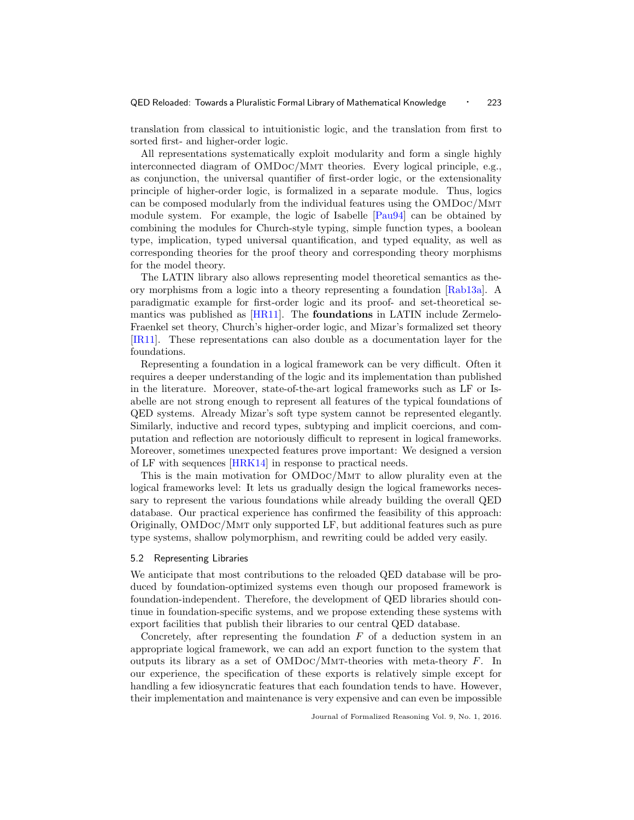translation from classical to intuitionistic logic, and the translation from first to sorted first- and higher-order logic.

All representations systematically exploit modularity and form a single highly interconnected diagram of OMDoc/Mmt theories. Every logical principle, e.g., as conjunction, the universal quantifier of first-order logic, or the extensionality principle of higher-order logic, is formalized in a separate module. Thus, logics can be composed modularly from the individual features using the OMDoc/Mmt module system. For example, the logic of Isabelle [\[Pau94\]](#page-32-5) can be obtained by combining the modules for Church-style typing, simple function types, a boolean type, implication, typed universal quantification, and typed equality, as well as corresponding theories for the proof theory and corresponding theory morphisms for the model theory.

The LATIN library also allows representing model theoretical semantics as theory morphisms from a logic into a theory representing a foundation [\[Rab13a\]](#page-32-15). A paradigmatic example for first-order logic and its proof- and set-theoretical semantics was published as [\[HR11\]](#page-29-11). The foundations in LATIN include Zermelo-Fraenkel set theory, Church's higher-order logic, and Mizar's formalized set theory [\[IR11\]](#page-29-12). These representations can also double as a documentation layer for the foundations.

Representing a foundation in a logical framework can be very difficult. Often it requires a deeper understanding of the logic and its implementation than published in the literature. Moreover, state-of-the-art logical frameworks such as LF or Isabelle are not strong enough to represent all features of the typical foundations of QED systems. Already Mizar's soft type system cannot be represented elegantly. Similarly, inductive and record types, subtyping and implicit coercions, and computation and reflection are notoriously difficult to represent in logical frameworks. Moreover, sometimes unexpected features prove important: We designed a version of LF with sequences [\[HRK14\]](#page-29-13) in response to practical needs.

This is the main motivation for OMDoc/Mmt to allow plurality even at the logical frameworks level: It lets us gradually design the logical frameworks necessary to represent the various foundations while already building the overall QED database. Our practical experience has confirmed the feasibility of this approach: Originally, OMDoc/Mmt only supported LF, but additional features such as pure type systems, shallow polymorphism, and rewriting could be added very easily.

## <span id="page-22-0"></span>5.2 Representing Libraries

We anticipate that most contributions to the reloaded QED database will be produced by foundation-optimized systems even though our proposed framework is foundation-independent. Therefore, the development of QED libraries should continue in foundation-specific systems, and we propose extending these systems with export facilities that publish their libraries to our central QED database.

Concretely, after representing the foundation  $F$  of a deduction system in an appropriate logical framework, we can add an export function to the system that outputs its library as a set of  $OMDoc/MMT$ -theories with meta-theory  $F$ . In our experience, the specification of these exports is relatively simple except for handling a few idiosyncratic features that each foundation tends to have. However, their implementation and maintenance is very expensive and can even be impossible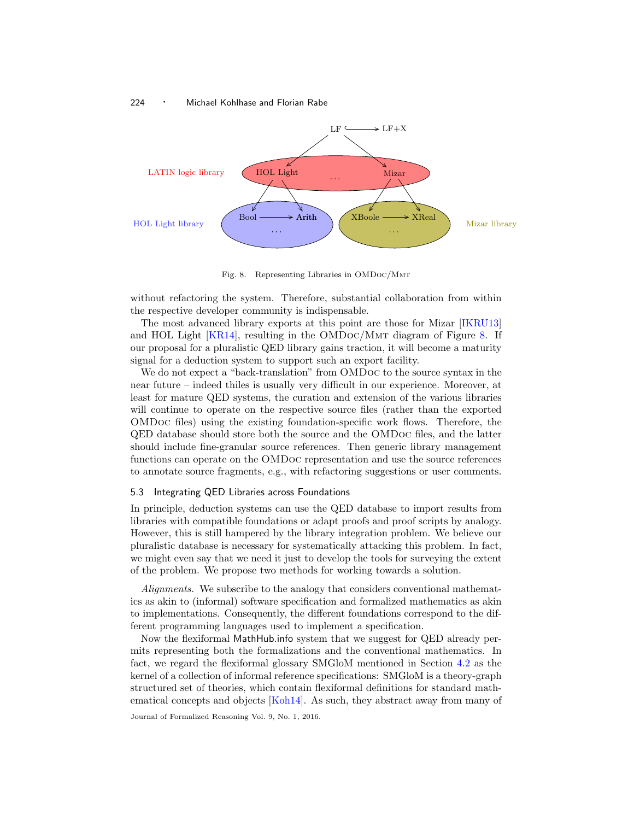

<span id="page-23-1"></span>Fig. 8. Representing Libraries in OMDoc/Mmt

without refactoring the system. Therefore, substantial collaboration from within the respective developer community is indispensable.

The most advanced library exports at this point are those for Mizar [\[IKRU13\]](#page-29-3) and HOL Light  $[KR14]$ , resulting in the OMDoc/MMT diagram of Figure [8.](#page-23-1) If our proposal for a pluralistic QED library gains traction, it will become a maturity signal for a deduction system to support such an export facility.

We do not expect a "back-translation" from OMDoc to the source syntax in the near future – indeed thiles is usually very difficult in our experience. Moreover, at least for mature QED systems, the curation and extension of the various libraries will continue to operate on the respective source files (rather than the exported OMDoc files) using the existing foundation-specific work flows. Therefore, the QED database should store both the source and the OMDoc files, and the latter should include fine-granular source references. Then generic library management functions can operate on the OMDoc representation and use the source references to annotate source fragments, e.g., with refactoring suggestions or user comments.

# <span id="page-23-0"></span>5.3 Integrating QED Libraries across Foundations

In principle, deduction systems can use the QED database to import results from libraries with compatible foundations or adapt proofs and proof scripts by analogy. However, this is still hampered by the library integration problem. We believe our pluralistic database is necessary for systematically attacking this problem. In fact, we might even say that we need it just to develop the tools for surveying the extent of the problem. We propose two methods for working towards a solution.

Alignments. We subscribe to the analogy that considers conventional mathematics as akin to (informal) software specification and formalized mathematics as akin to implementations. Consequently, the different foundations correspond to the different programming languages used to implement a specification.

Now the flexiformal MathHub.info system that we suggest for QED already permits representing both the formalizations and the conventional mathematics. In fact, we regard the flexiformal glossary SMGloM mentioned in Section [4.2](#page-19-0) as the kernel of a collection of informal reference specifications: SMGloM is a theory-graph structured set of theories, which contain flexiformal definitions for standard mathematical concepts and objects [\[Koh14\]](#page-30-7). As such, they abstract away from many of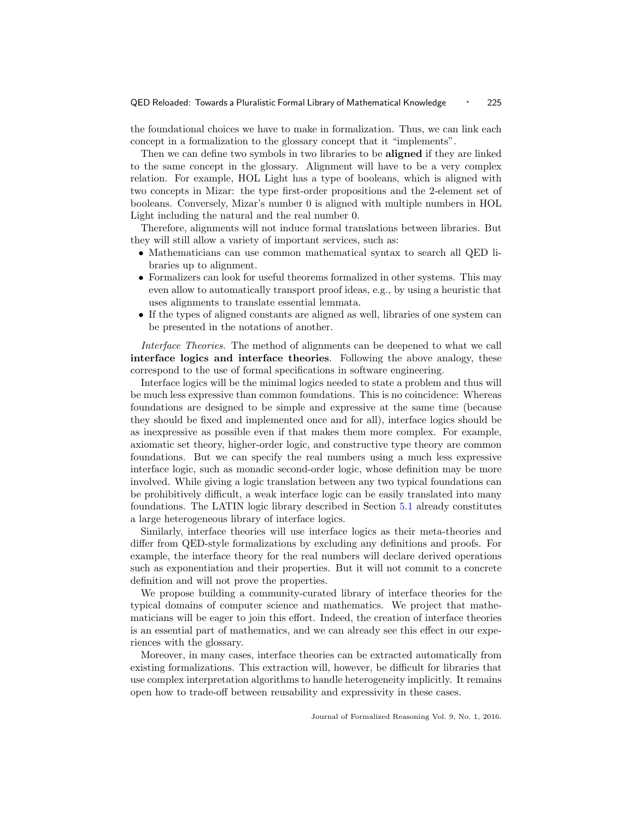the foundational choices we have to make in formalization. Thus, we can link each concept in a formalization to the glossary concept that it "implements".

Then we can define two symbols in two libraries to be aligned if they are linked to the same concept in the glossary. Alignment will have to be a very complex relation. For example, HOL Light has a type of booleans, which is aligned with two concepts in Mizar: the type first-order propositions and the 2-element set of booleans. Conversely, Mizar's number 0 is aligned with multiple numbers in HOL Light including the natural and the real number 0.

Therefore, alignments will not induce formal translations between libraries. But they will still allow a variety of important services, such as:

- Mathematicians can use common mathematical syntax to search all QED libraries up to alignment.
- Formalizers can look for useful theorems formalized in other systems. This may even allow to automatically transport proof ideas, e.g., by using a heuristic that uses alignments to translate essential lemmata.
- If the types of aligned constants are aligned as well, libraries of one system can be presented in the notations of another.

Interface Theories. The method of alignments can be deepened to what we call interface logics and interface theories. Following the above analogy, these correspond to the use of formal specifications in software engineering.

Interface logics will be the minimal logics needed to state a problem and thus will be much less expressive than common foundations. This is no coincidence: Whereas foundations are designed to be simple and expressive at the same time (because they should be fixed and implemented once and for all), interface logics should be as inexpressive as possible even if that makes them more complex. For example, axiomatic set theory, higher-order logic, and constructive type theory are common foundations. But we can specify the real numbers using a much less expressive interface logic, such as monadic second-order logic, whose definition may be more involved. While giving a logic translation between any two typical foundations can be prohibitively difficult, a weak interface logic can be easily translated into many foundations. The LATIN logic library described in Section [5.1](#page-21-1) already constitutes a large heterogeneous library of interface logics.

Similarly, interface theories will use interface logics as their meta-theories and differ from QED-style formalizations by excluding any definitions and proofs. For example, the interface theory for the real numbers will declare derived operations such as exponentiation and their properties. But it will not commit to a concrete definition and will not prove the properties.

We propose building a community-curated library of interface theories for the typical domains of computer science and mathematics. We project that mathematicians will be eager to join this effort. Indeed, the creation of interface theories is an essential part of mathematics, and we can already see this effect in our experiences with the glossary.

Moreover, in many cases, interface theories can be extracted automatically from existing formalizations. This extraction will, however, be difficult for libraries that use complex interpretation algorithms to handle heterogeneity implicitly. It remains open how to trade-off between reusability and expressivity in these cases.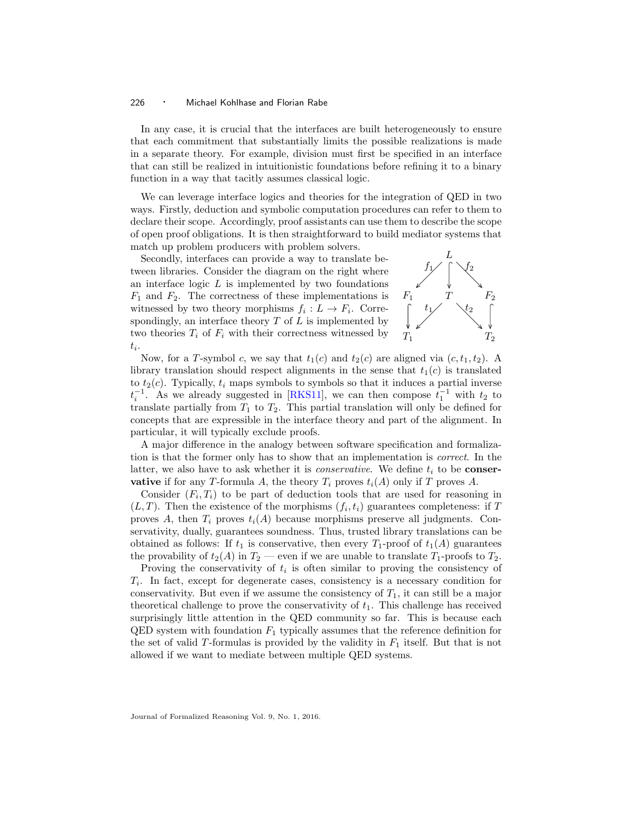In any case, it is crucial that the interfaces are built heterogeneously to ensure that each commitment that substantially limits the possible realizations is made in a separate theory. For example, division must first be specified in an interface that can still be realized in intuitionistic foundations before refining it to a binary function in a way that tacitly assumes classical logic.

We can leverage interface logics and theories for the integration of QED in two ways. Firstly, deduction and symbolic computation procedures can refer to them to declare their scope. Accordingly, proof assistants can use them to describe the scope of open proof obligations. It is then straightforward to build mediator systems that match up problem producers with problem solvers.

Secondly, interfaces can provide a way to translate between libraries. Consider the diagram on the right where an interface logic  $L$  is implemented by two foundations  $F_1$  and  $F_2$ . The correctness of these implementations is witnessed by two theory morphisms  $f_i: L \to F_i$ . Correspondingly, an interface theory  $T$  of  $L$  is implemented by two theories  $T_i$  of  $F_i$  with their correctness witnessed by  $t_i$ .



Now, for a T-symbol c, we say that  $t_1(c)$  and  $t_2(c)$  are aligned via  $(c, t_1, t_2)$ . A library translation should respect alignments in the sense that  $t_1(c)$  is translated to  $t_2(c)$ . Typically,  $t_i$  maps symbols to symbols so that it induces a partial inverse  $t_i^{-1}$ . As we already suggested in [\[RKS11\]](#page-32-3), we can then compose  $t_1^{-1}$  with  $t_2$  to translate partially from  $T_1$  to  $T_2$ . This partial translation will only be defined for concepts that are expressible in the interface theory and part of the alignment. In particular, it will typically exclude proofs.

A major difference in the analogy between software specification and formalization is that the former only has to show that an implementation is correct. In the latter, we also have to ask whether it is *conservative*. We define  $t_i$  to be **conser**vative if for any T-formula A, the theory  $T_i$  proves  $t_i(A)$  only if T proves A.

Consider  $(F_i, T_i)$  to be part of deduction tools that are used for reasoning in  $(L, T)$ . Then the existence of the morphisms  $(f_i, t_i)$  guarantees completeness: if T proves A, then  $T_i$  proves  $t_i(A)$  because morphisms preserve all judgments. Conservativity, dually, guarantees soundness. Thus, trusted library translations can be obtained as follows: If  $t_1$  is conservative, then every  $T_1$ -proof of  $t_1(A)$  guarantees the provability of  $t_2(A)$  in  $T_2$  — even if we are unable to translate  $T_1$ -proofs to  $T_2$ .

Proving the conservativity of  $t_i$  is often similar to proving the consistency of  $T_i$ . In fact, except for degenerate cases, consistency is a necessary condition for conservativity. But even if we assume the consistency of  $T_1$ , it can still be a major theoretical challenge to prove the conservativity of  $t_1$ . This challenge has received surprisingly little attention in the QED community so far. This is because each  $\text{QED}$  system with foundation  $F_1$  typically assumes that the reference definition for the set of valid T-formulas is provided by the validity in  $F_1$  itself. But that is not allowed if we want to mediate between multiple QED systems.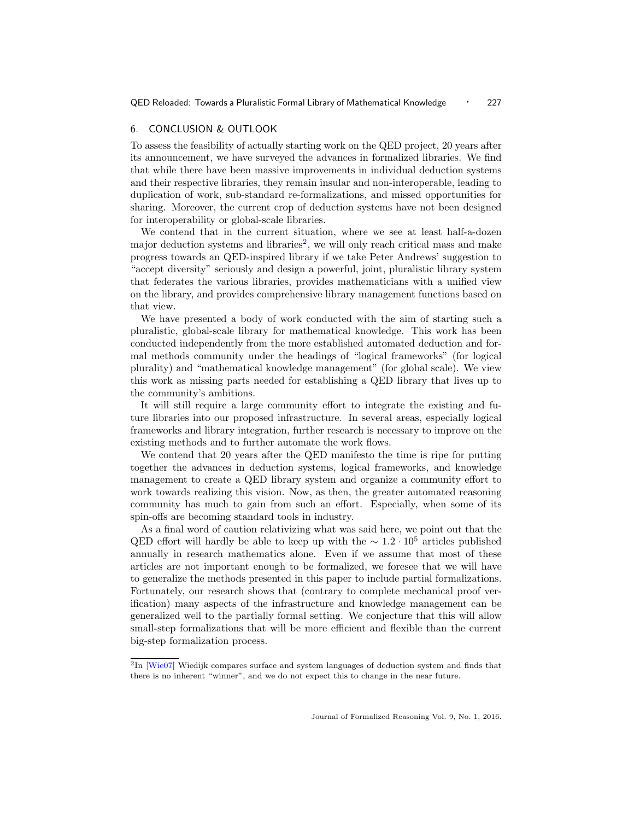## <span id="page-26-0"></span>6. CONCLUSION & OUTLOOK

To assess the feasibility of actually starting work on the QED project, 20 years after its announcement, we have surveyed the advances in formalized libraries. We find that while there have been massive improvements in individual deduction systems and their respective libraries, they remain insular and non-interoperable, leading to duplication of work, sub-standard re-formalizations, and missed opportunities for sharing. Moreover, the current crop of deduction systems have not been designed for interoperability or global-scale libraries.

We contend that in the current situation, where we see at least half-a-dozen major deduction systems and libraries<sup>[2](#page-26-1)</sup>, we will only reach critical mass and make progress towards an QED-inspired library if we take Peter Andrews' suggestion to "accept diversity" seriously and design a powerful, joint, pluralistic library system that federates the various libraries, provides mathematicians with a unified view on the library, and provides comprehensive library management functions based on that view.

We have presented a body of work conducted with the aim of starting such a pluralistic, global-scale library for mathematical knowledge. This work has been conducted independently from the more established automated deduction and formal methods community under the headings of "logical frameworks" (for logical plurality) and "mathematical knowledge management" (for global scale). We view this work as missing parts needed for establishing a QED library that lives up to the community's ambitions.

It will still require a large community effort to integrate the existing and future libraries into our proposed infrastructure. In several areas, especially logical frameworks and library integration, further research is necessary to improve on the existing methods and to further automate the work flows.

We contend that 20 years after the QED manifesto the time is ripe for putting together the advances in deduction systems, logical frameworks, and knowledge management to create a QED library system and organize a community effort to work towards realizing this vision. Now, as then, the greater automated reasoning community has much to gain from such an effort. Especially, when some of its spin-offs are becoming standard tools in industry.

As a final word of caution relativizing what was said here, we point out that the QED effort will hardly be able to keep up with the  $\sim 1.2 \cdot 10^5$  articles published annually in research mathematics alone. Even if we assume that most of these articles are not important enough to be formalized, we foresee that we will have to generalize the methods presented in this paper to include partial formalizations. Fortunately, our research shows that (contrary to complete mechanical proof verification) many aspects of the infrastructure and knowledge management can be generalized well to the partially formal setting. We conjecture that this will allow small-step formalizations that will be more efficient and flexible than the current big-step formalization process.

<span id="page-26-1"></span> ${}^{2}\text{In}$  [\[Wie07\]](#page-33-3) Wiedijk compares surface and system languages of deduction system and finds that there is no inherent "winner", and we do not expect this to change in the near future.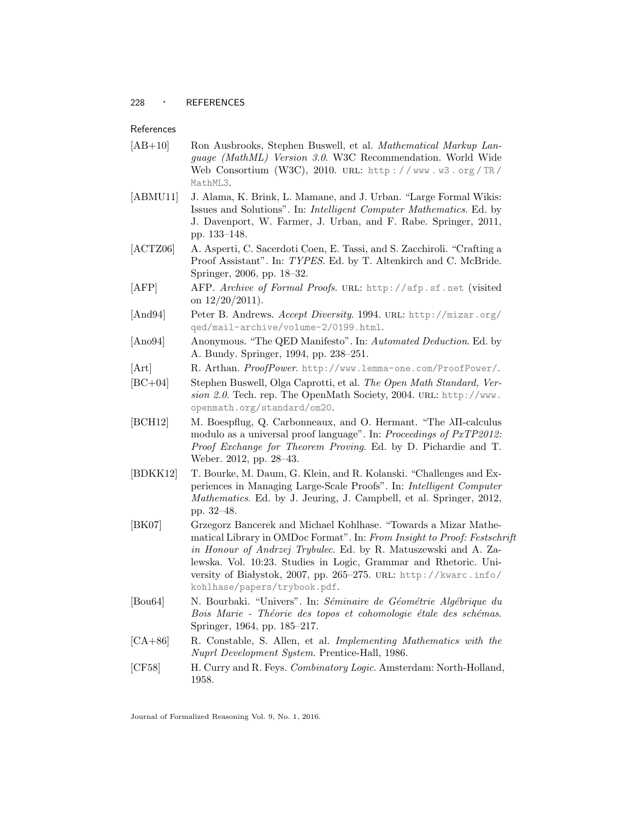# <span id="page-27-1"></span>References

- <span id="page-27-13"></span>[AB+10] Ron Ausbrooks, Stephen Buswell, et al. Mathematical Markup Language (MathML) Version 3.0. W3C Recommendation. World Wide Web Consortium (W3C), 2010. URL: http://www.w3.org/TR/ [MathML3](http://www.w3.org/TR/MathML3).
- <span id="page-27-14"></span>[ABMU11] J. Alama, K. Brink, L. Mamane, and J. Urban. "Large Formal Wikis: Issues and Solutions". In: Intelligent Computer Mathematics. Ed. by J. Davenport, W. Farmer, J. Urban, and F. Rabe. Springer, 2011, pp. 133–148.
- <span id="page-27-5"></span>[ACTZ06] A. Asperti, C. Sacerdoti Coen, E. Tassi, and S. Zacchiroli. "Crafting a Proof Assistant". In: TYPES. Ed. by T. Altenkirch and C. McBride. Springer, 2006, pp. 18–32.
- <span id="page-27-9"></span>[AFP] AFP. Archive of Formal Proofs. URL: <http://afp.sf.net> (visited) on  $12/20/2011$ ).
- <span id="page-27-2"></span>[And94] Peter B. Andrews. Accept Diversity. 1994. URL: [http://mizar.org/](http://mizar.org/qed/mail-archive/volume-2/0199.html) [qed/mail-archive/volume-2/0199.html](http://mizar.org/qed/mail-archive/volume-2/0199.html).
- <span id="page-27-0"></span>[Ano94] Anonymous. "The QED Manifesto". In: Automated Deduction. Ed. by A. Bundy. Springer, 1994, pp. 238–251.
- <span id="page-27-6"></span>[Art] R. Arthan. ProofPower. <http://www.lemma-one.com/ProofPower/>.
- <span id="page-27-12"></span>[BC+04] Stephen Buswell, Olga Caprotti, et al. The Open Math Standard, Version 2.0. Tech. rep. The OpenMath Society, 2004. URL: [http://www.](http://www.openmath.org/standard/om20) [openmath.org/standard/om20](http://www.openmath.org/standard/om20).
- <span id="page-27-11"></span>[BCH12] M. Boespflug, Q. Carbonneaux, and O. Hermant. "The λΠ-calculus modulo as a universal proof language". In: Proceedings of PxTP2012: Proof Exchange for Theorem Proving. Ed. by D. Pichardie and T. Weber. 2012, pp. 28–43.
- <span id="page-27-8"></span>[BDKK12] T. Bourke, M. Daum, G. Klein, and R. Kolanski. "Challenges and Experiences in Managing Large-Scale Proofs". In: Intelligent Computer Mathematics. Ed. by J. Jeuring, J. Campbell, et al. Springer, 2012, pp. 32–48.
- <span id="page-27-10"></span>[BK07] Grzegorz Bancerek and Michael Kohlhase. "Towards a Mizar Mathematical Library in OMDoc Format". In: From Insight to Proof: Festschrift in Honour of Andrzej Trybulec. Ed. by R. Matuszewski and A. Zalewska. Vol. 10:23. Studies in Logic, Grammar and Rhetoric. University of Białystok, 2007, pp. 265-275. URL: [http://kwarc.info/](http://kwarc.info/kohlhase/papers/trybook.pdf) [kohlhase/papers/trybook.pdf](http://kwarc.info/kohlhase/papers/trybook.pdf).
- <span id="page-27-7"></span>[Bou64] N. Bourbaki. "Univers". In: Séminaire de Géométrie Algébrique du Bois Marie - Théorie des topos et cohomologie étale des schémas. Springer, 1964, pp. 185–217.
- <span id="page-27-4"></span>[CA+86] R. Constable, S. Allen, et al. Implementing Mathematics with the Nuprl Development System. Prentice-Hall, 1986.
- <span id="page-27-3"></span>[CF58] H. Curry and R. Feys. Combinatory Logic. Amsterdam: North-Holland, 1958.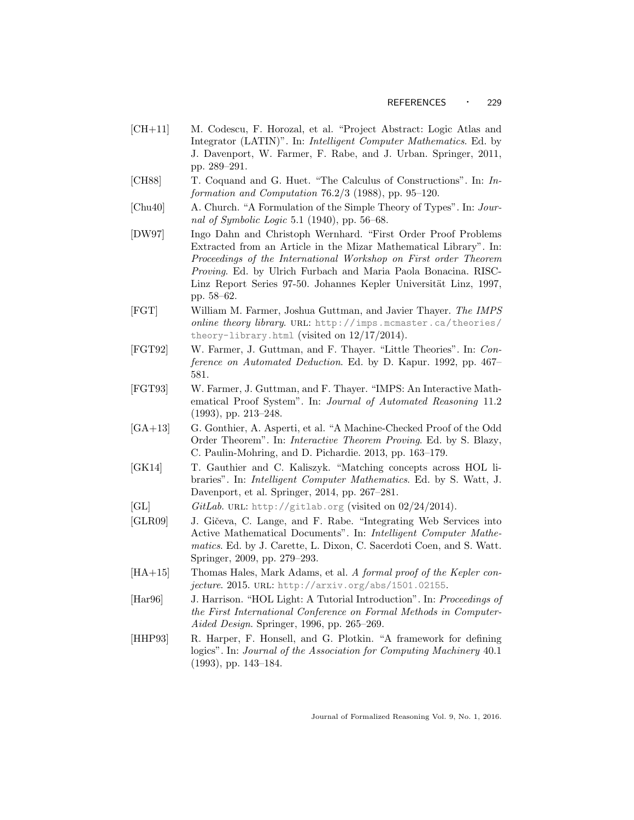- <span id="page-28-8"></span>[CH+11] M. Codescu, F. Horozal, et al. "Project Abstract: Logic Atlas and Integrator (LATIN)". In: Intelligent Computer Mathematics. Ed. by J. Davenport, W. Farmer, F. Rabe, and J. Urban. Springer, 2011, pp. 289–291.
- <span id="page-28-3"></span>[CH88] T. Coquand and G. Huet. "The Calculus of Constructions". In: Information and Computation 76.2/3 (1988), pp. 95–120.
- <span id="page-28-4"></span>[Chu40] A. Church. "A Formulation of the Simple Theory of Types". In: Journal of Symbolic Logic 5.1 (1940), pp. 56–68.
- <span id="page-28-9"></span>[DW97] Ingo Dahn and Christoph Wernhard. "First Order Proof Problems Extracted from an Article in the Mizar Mathematical Library". In: Proceedings of the International Workshop on First order Theorem Proving. Ed. by Ulrich Furbach and Maria Paola Bonacina. RISC-Linz Report Series 97-50. Johannes Kepler Universität Linz, 1997, pp. 58–62.
- <span id="page-28-7"></span>[FGT] William M. Farmer, Joshua Guttman, and Javier Thayer. The IMPS online theory library. URL: [http://imps.mcmaster.ca/theories/](http://imps.mcmaster.ca/theories/theory-library.html) [theory-library.html](http://imps.mcmaster.ca/theories/theory-library.html) (visited on  $12/17/2014$ ).
- <span id="page-28-6"></span>[FGT92] W. Farmer, J. Guttman, and F. Thayer. "Little Theories". In: Conference on Automated Deduction. Ed. by D. Kapur. 1992, pp. 467– 581.
- <span id="page-28-5"></span>[FGT93] W. Farmer, J. Guttman, and F. Thayer. "IMPS: An Interactive Mathematical Proof System". In: Journal of Automated Reasoning 11.2 (1993), pp. 213–248.
- <span id="page-28-1"></span>[GA+13] G. Gonthier, A. Asperti, et al. "A Machine-Checked Proof of the Odd Order Theorem". In: Interactive Theorem Proving. Ed. by S. Blazy, C. Paulin-Mohring, and D. Pichardie. 2013, pp. 163–179.
- <span id="page-28-11"></span>[GK14] T. Gauthier and C. Kaliszyk. "Matching concepts across HOL libraries". In: Intelligent Computer Mathematics. Ed. by S. Watt, J. Davenport, et al. Springer, 2014, pp. 267–281.
- <span id="page-28-13"></span>[GL]  $GitLab. \text{ URL: } \text{http://github.org (visited on 02/24/2014).}$
- <span id="page-28-12"></span>[GLR09] J. Gičeva, C. Lange, and F. Rabe. "Integrating Web Services into Active Mathematical Documents". In: Intelligent Computer Mathematics. Ed. by J. Carette, L. Dixon, C. Sacerdoti Coen, and S. Watt. Springer, 2009, pp. 279–293.
- <span id="page-28-2"></span>[HA+15] Thomas Hales, Mark Adams, et al. A formal proof of the Kepler conjecture. 2015. URL: <http://arxiv.org/abs/1501.02155>.
- <span id="page-28-0"></span>[Har96] J. Harrison. "HOL Light: A Tutorial Introduction". In: Proceedings of the First International Conference on Formal Methods in Computer-Aided Design. Springer, 1996, pp. 265–269.
- <span id="page-28-10"></span>[HHP93] R. Harper, F. Honsell, and G. Plotkin. "A framework for defining logics". In: Journal of the Association for Computing Machinery 40.1 (1993), pp. 143–184.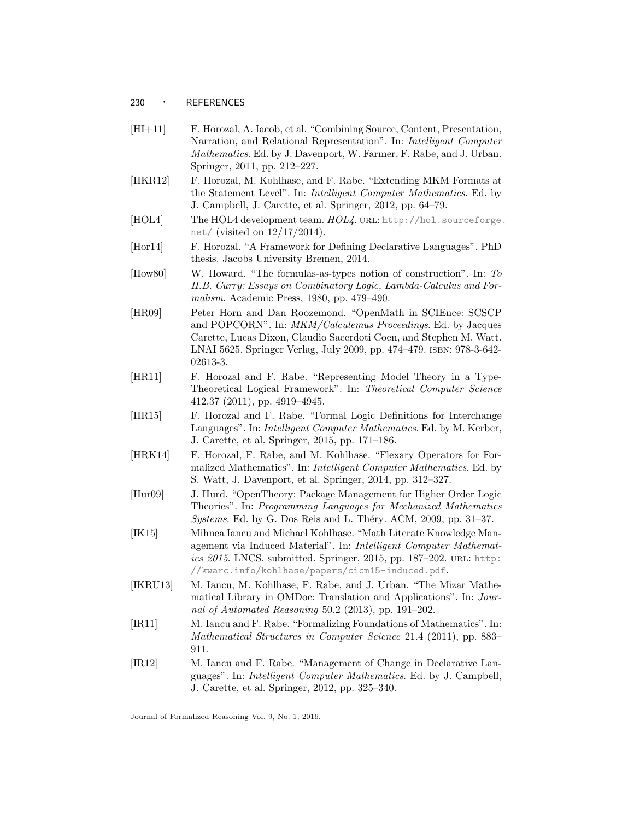#### <sup>230</sup> · REFERENCES

- <span id="page-29-8"></span>[HI+11] F. Horozal, A. Iacob, et al. "Combining Source, Content, Presentation, Narration, and Relational Representation". In: Intelligent Computer Mathematics. Ed. by J. Davenport, W. Farmer, F. Rabe, and J. Urban. Springer, 2011, pp. 212–227.
- <span id="page-29-6"></span>[HKR12] F. Horozal, M. Kohlhase, and F. Rabe. "Extending MKM Formats at the Statement Level". In: Intelligent Computer Mathematics. Ed. by J. Campbell, J. Carette, et al. Springer, 2012, pp. 64–79.
- <span id="page-29-1"></span>[HOL4] The HOL4 development team.  $HOL4$ . URL: [http://hol.sourceforge.](http://hol.sourceforge.net/) [net/](http://hol.sourceforge.net/) (visited on 12/17/2014).
- <span id="page-29-7"></span>[Hor14] F. Horozal. "A Framework for Defining Declarative Languages". PhD thesis. Jacobs University Bremen, 2014.
- <span id="page-29-0"></span>[How80] W. Howard. "The formulas-as-types notion of construction". In: To H.B. Curry: Essays on Combinatory Logic, Lambda-Calculus and Formalism. Academic Press, 1980, pp. 479–490.
- <span id="page-29-5"></span>[HR09] Peter Horn and Dan Roozemond. "OpenMath in SCIEnce: SCSCP and POPCORN". In: MKM/Calculemus Proceedings. Ed. by Jacques Carette, Lucas Dixon, Claudio Sacerdoti Coen, and Stephen M. Watt. LNAI 5625. Springer Verlag, July 2009, pp. 474–479. isbn: 978-3-642- 02613-3.
- <span id="page-29-11"></span>[HR11] F. Horozal and F. Rabe. "Representing Model Theory in a Type-Theoretical Logical Framework". In: Theoretical Computer Science 412.37 (2011), pp. 4919–4945.
- <span id="page-29-4"></span>[HR15] F. Horozal and F. Rabe. "Formal Logic Definitions for Interchange Languages". In: Intelligent Computer Mathematics. Ed. by M. Kerber, J. Carette, et al. Springer, 2015, pp. 171–186.
- <span id="page-29-13"></span>[HRK14] F. Horozal, F. Rabe, and M. Kohlhase. "Flexary Operators for Formalized Mathematics". In: Intelligent Computer Mathematics. Ed. by S. Watt, J. Davenport, et al. Springer, 2014, pp. 312–327.
- <span id="page-29-2"></span>[Hur09] J. Hurd. "OpenTheory: Package Management for Higher Order Logic Theories". In: Programming Languages for Mechanized Mathematics  $Systems. Ed. by G. Dos Reis and L. Théry. ACM, 2009, pp. 31-37.$
- <span id="page-29-10"></span>[IK15] Mihnea Iancu and Michael Kohlhase. "Math Literate Knowledge Management via Induced Material". In: Intelligent Computer Mathematics 2015. LNCS. submitted. Springer, 2015, pp. 187-202. URL: [http:](http://kwarc.info/kohlhase/papers/cicm15-induced.pdf) [//kwarc.info/kohlhase/papers/cicm15-induced.pdf](http://kwarc.info/kohlhase/papers/cicm15-induced.pdf).
- <span id="page-29-3"></span>[IKRU13] M. Iancu, M. Kohlhase, F. Rabe, and J. Urban. "The Mizar Mathematical Library in OMDoc: Translation and Applications". In: Journal of Automated Reasoning 50.2 (2013), pp. 191–202.
- <span id="page-29-12"></span>[IR11] M. Iancu and F. Rabe. "Formalizing Foundations of Mathematics". In: Mathematical Structures in Computer Science 21.4 (2011), pp. 883– 911.
- <span id="page-29-9"></span>[IR12] M. Iancu and F. Rabe. "Management of Change in Declarative Languages". In: Intelligent Computer Mathematics. Ed. by J. Campbell, J. Carette, et al. Springer, 2012, pp. 325–340.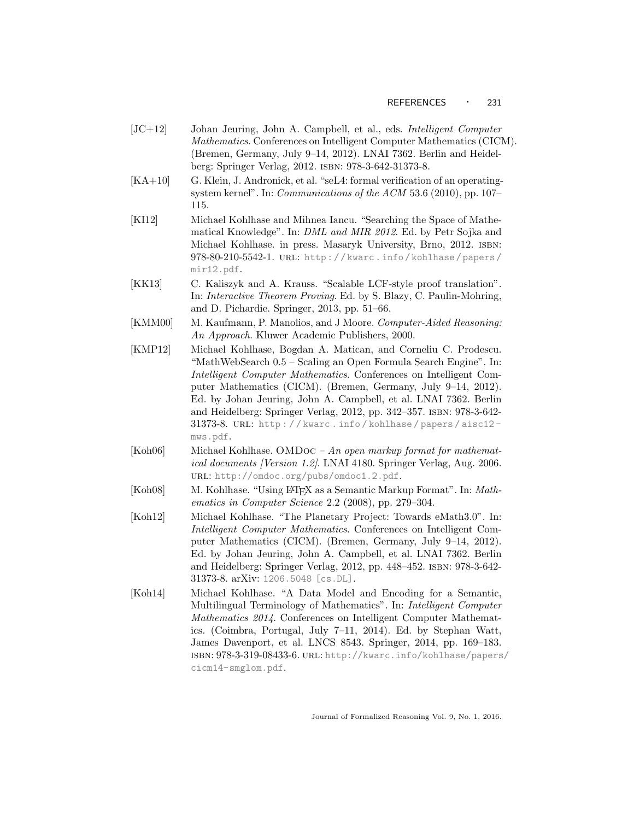- [JC+12] Johan Jeuring, John A. Campbell, et al., eds. Intelligent Computer Mathematics. Conferences on Intelligent Computer Mathematics (CICM). (Bremen, Germany, July 9–14, 2012). LNAI 7362. Berlin and Heidelberg: Springer Verlag, 2012. isbn: 978-3-642-31373-8.
- <span id="page-30-1"></span>[KA+10] G. Klein, J. Andronick, et al. "seL4: formal verification of an operatingsystem kernel". In: Communications of the ACM 53.6 (2010), pp. 107– 115.
- <span id="page-30-5"></span>[KI12] Michael Kohlhase and Mihnea Iancu. "Searching the Space of Mathematical Knowledge". In: DML and MIR 2012. Ed. by Petr Sojka and Michael Kohlhase. in press. Masaryk University, Brno, 2012. isbn: 978-80-210-5542-1. url: [http : / / kwarc . info / kohlhase / papers /](http://kwarc.info/kohlhase/papers/mir12.pdf) [mir12.pdf](http://kwarc.info/kohlhase/papers/mir12.pdf).
- <span id="page-30-2"></span>[KK13] C. Kaliszyk and A. Krauss. "Scalable LCF-style proof translation". In: Interactive Theorem Proving. Ed. by S. Blazy, C. Paulin-Mohring, and D. Pichardie. Springer, 2013, pp. 51–66.
- <span id="page-30-0"></span>[KMM00] M. Kaufmann, P. Manolios, and J Moore. Computer-Aided Reasoning: An Approach. Kluwer Academic Publishers, 2000.
- <span id="page-30-4"></span>[KMP12] Michael Kohlhase, Bogdan A. Matican, and Corneliu C. Prodescu. "MathWebSearch 0.5 – Scaling an Open Formula Search Engine". In: Intelligent Computer Mathematics. Conferences on Intelligent Computer Mathematics (CICM). (Bremen, Germany, July 9–14, 2012). Ed. by Johan Jeuring, John A. Campbell, et al. LNAI 7362. Berlin and Heidelberg: Springer Verlag, 2012, pp. 342–357. isbn: 978-3-642- 31373-8. URL: http://kwarc.info/kohlhase/papers/aisc12[mws.pdf](http://kwarc.info/kohlhase/papers/aisc12-mws.pdf).
- <span id="page-30-3"></span>[Koh06] Michael Kohlhase. OMDoc – An open markup format for mathematical documents [Version 1.2]. LNAI 4180. Springer Verlag, Aug. 2006. url: <http://omdoc.org/pubs/omdoc1.2.pdf>.
- <span id="page-30-8"></span>[Koh08] M. Kohlhase. "Using LATEX as a Semantic Markup Format". In: Mathematics in Computer Science 2.2 (2008), pp. 279–304.
- <span id="page-30-6"></span>[Koh12] Michael Kohlhase. "The Planetary Project: Towards eMath3.0". In: Intelligent Computer Mathematics. Conferences on Intelligent Computer Mathematics (CICM). (Bremen, Germany, July 9–14, 2012). Ed. by Johan Jeuring, John A. Campbell, et al. LNAI 7362. Berlin and Heidelberg: Springer Verlag, 2012, pp. 448–452. isbn: 978-3-642- 31373-8. arXiv: [1206.5048 \[cs.DL\]](http://arxiv.org/abs/1206.5048).
- <span id="page-30-7"></span>[Koh14] Michael Kohlhase. "A Data Model and Encoding for a Semantic, Multilingual Terminology of Mathematics". In: Intelligent Computer Mathematics 2014. Conferences on Intelligent Computer Mathematics. (Coimbra, Portugal, July 7–11, 2014). Ed. by Stephan Watt, James Davenport, et al. LNCS 8543. Springer, 2014, pp. 169–183. isbn: 978-3-319-08433-6. url: [http://kwarc.info/kohlhase/papers](http://kwarc.info/kohlhase/papers/cicm14-smglom.pdf)/ [cicm14-smglom.pdf](http://kwarc.info/kohlhase/papers/cicm14-smglom.pdf).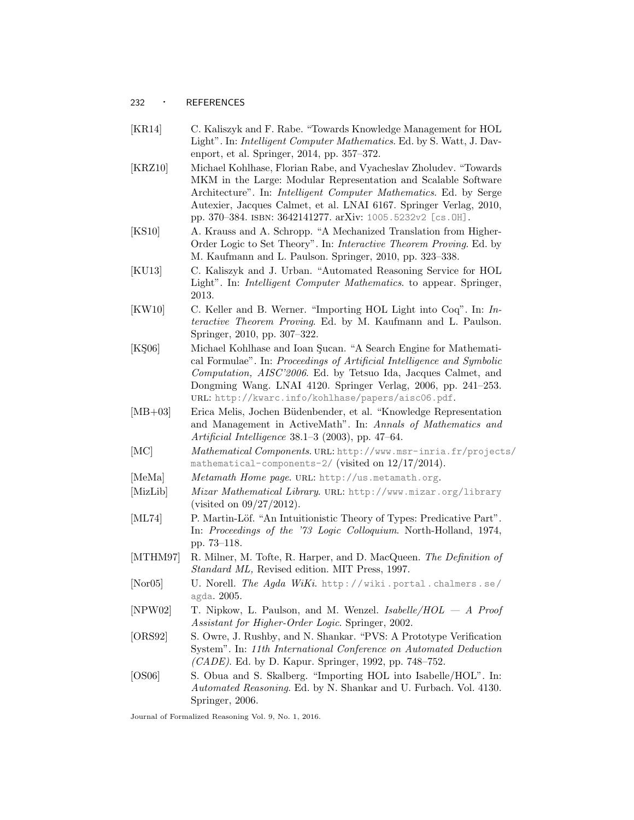# <sup>232</sup> · REFERENCES

- <span id="page-31-11"></span>[KR14] C. Kaliszyk and F. Rabe. "Towards Knowledge Management for HOL Light". In: Intelligent Computer Mathematics. Ed. by S. Watt, J. Davenport, et al. Springer, 2014, pp. 357–372.
- <span id="page-31-15"></span>[KRZ10] Michael Kohlhase, Florian Rabe, and Vyacheslav Zholudev. "Towards MKM in the Large: Modular Representation and Scalable Software Architecture". In: Intelligent Computer Mathematics. Ed. by Serge Autexier, Jacques Calmet, et al. LNAI 6167. Springer Verlag, 2010, pp. 370–384. isbn: 3642141277. arXiv: [1005.5232v2 \[cs.OH\]](http://arxiv.org/abs/1005.5232v2).
- <span id="page-31-8"></span>[KS10] A. Krauss and A. Schropp. "A Mechanized Translation from Higher-Order Logic to Set Theory". In: Interactive Theorem Proving. Ed. by M. Kaufmann and L. Paulson. Springer, 2010, pp. 323–338.
- <span id="page-31-14"></span>[KU13] C. Kaliszyk and J. Urban. "Automated Reasoning Service for HOL Light". In: *Intelligent Computer Mathematics*. to appear. Springer, 2013.
- <span id="page-31-7"></span>[KW10] C. Keller and B. Werner. "Importing HOL Light into Coq". In: Interactive Theorem Proving. Ed. by M. Kaufmann and L. Paulson. Springer, 2010, pp. 307–322.
- <span id="page-31-12"></span>[KS06] Michael Kohlhase and Ioan Sucan. "A Search Engine for Mathematical Formulae". In: Proceedings of Artificial Intelligence and Symbolic Computation, AISC'2006. Ed. by Tetsuo Ida, Jacques Calmet, and Dongming Wang. LNAI 4120. Springer Verlag, 2006, pp. 241–253. url: <http://kwarc.info/kohlhase/papers/aisc06.pdf>.
- <span id="page-31-13"></span>[MB+03] Erica Melis, Jochen B¨udenbender, et al. "Knowledge Representation and Management in ActiveMath". In: Annals of Mathematics and Artificial Intelligence 38.1–3 (2003), pp. 47–64.
- <span id="page-31-6"></span>[MC] Mathematical Components. URL: [http://www.msr-inria.fr/project](http://www.msr-inria.fr/projects/mathematical-components-2/)s/ [mathematical-components-2/](http://www.msr-inria.fr/projects/mathematical-components-2/) (visited on 12/17/2014).
- <span id="page-31-3"></span>[MeMa] Metamath Home page. URL: <http://us.metamath.org>.
- <span id="page-31-9"></span>[MizLib] Mizar Mathematical Library. url: <http://www.mizar.org/library> (visited on 09/27/2012).
- <span id="page-31-0"></span>[ML74] P. Martin-Löf. "An Intuitionistic Theory of Types: Predicative Part". In: Proceedings of the '73 Logic Colloquium. North-Holland, 1974, pp. 73–118.
- <span id="page-31-5"></span>[MTHM97] R. Milner, M. Tofte, R. Harper, and D. MacQueen. The Definition of Standard ML, Revised edition. MIT Press, 1997.
- <span id="page-31-1"></span>[Nor05] U. Norell. The Agda WiKi. http://wiki.portal.chalmers.se/ [agda](http://wiki.portal.chalmers.se/agda). 2005.
- <span id="page-31-2"></span> $[NPW02]$  T. Nipkow, L. Paulson, and M. Wenzel. Isabelle/HOL  $-A$  Proof Assistant for Higher-Order Logic. Springer, 2002.
- <span id="page-31-4"></span>[ORS92] S. Owre, J. Rushby, and N. Shankar. "PVS: A Prototype Verification System". In: 11th International Conference on Automated Deduction (CADE). Ed. by D. Kapur. Springer, 1992, pp. 748–752.
- <span id="page-31-10"></span>[OS06] S. Obua and S. Skalberg. "Importing HOL into Isabelle/HOL". In: Automated Reasoning. Ed. by N. Shankar and U. Furbach. Vol. 4130. Springer, 2006.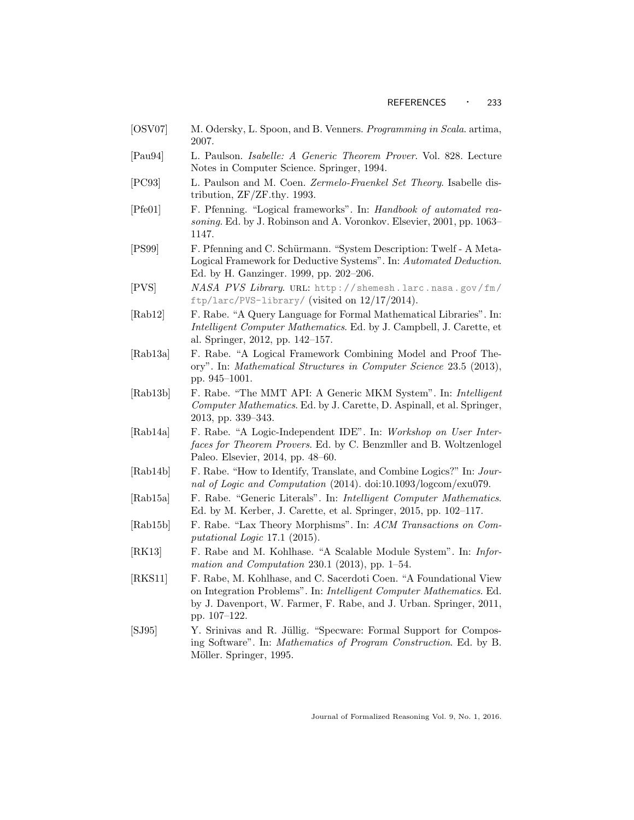- <span id="page-32-9"></span>[OSV07] M. Odersky, L. Spoon, and B. Venners. *Programming in Scala.* artima, 2007.
- <span id="page-32-5"></span>[Pau94] L. Paulson. Isabelle: A Generic Theorem Prover. Vol. 828. Lecture Notes in Computer Science. Springer, 1994.
- <span id="page-32-1"></span>[PC93] L. Paulson and M. Coen. Zermelo-Fraenkel Set Theory. Isabelle distribution, ZF/ZF.thy. 1993.
- <span id="page-32-0"></span>[Pfe01] F. Pfenning. "Logical frameworks". In: Handbook of automated reasoning. Ed. by J. Robinson and A. Voronkov. Elsevier, 2001, pp. 1063– 1147.
- <span id="page-32-4"></span>[PS99] F. Pfenning and C. Schürmann. "System Description: Twelf - A Meta-Logical Framework for Deductive Systems". In: Automated Deduction. Ed. by H. Ganzinger. 1999, pp. 202–206.
- <span id="page-32-2"></span>[PVS] NASA PVS Library. url: [http://shemesh.larc.nasa.gov/fm/](http://shemesh.larc.nasa.gov/fm/ftp/larc/PVS-library/) [ftp/larc/PVS-library/](http://shemesh.larc.nasa.gov/fm/ftp/larc/PVS-library/) (visited on 12/17/2014).
- <span id="page-32-13"></span>[Rab12] F. Rabe. "A Query Language for Formal Mathematical Libraries". In: Intelligent Computer Mathematics. Ed. by J. Campbell, J. Carette, et al. Springer, 2012, pp. 142–157.
- <span id="page-32-15"></span>[Rab13a] F. Rabe. "A Logical Framework Combining Model and Proof Theory". In: Mathematical Structures in Computer Science 23.5 (2013), pp. 945–1001.
- <span id="page-32-8"></span>[Rab13b] F. Rabe. "The MMT API: A Generic MKM System". In: Intelligent Computer Mathematics. Ed. by J. Carette, D. Aspinall, et al. Springer, 2013, pp. 339–343.
- <span id="page-32-12"></span>[Rab14a] F. Rabe. "A Logic-Independent IDE". In: Workshop on User Interfaces for Theorem Provers. Ed. by C. Benzmller and B. Woltzenlogel Paleo. Elsevier, 2014, pp. 48–60.
- <span id="page-32-7"></span>[Rab14b] F. Rabe. "How to Identify, Translate, and Combine Logics?" In: Journal of Logic and Computation (2014). doi:10.1093/logcom/exu079.
- <span id="page-32-10"></span>[Rab15a] F. Rabe. "Generic Literals". In: Intelligent Computer Mathematics. Ed. by M. Kerber, J. Carette, et al. Springer, 2015, pp. 102–117.
- <span id="page-32-11"></span>[Rab15b] F. Rabe. "Lax Theory Morphisms". In: ACM Transactions on Computational Logic 17.1 (2015).
- <span id="page-32-6"></span>[RK13] F. Rabe and M. Kohlhase. "A Scalable Module System". In: Information and Computation 230.1 (2013), pp. 1–54.
- <span id="page-32-3"></span>[RKS11] F. Rabe, M. Kohlhase, and C. Sacerdoti Coen. "A Foundational View on Integration Problems". In: Intelligent Computer Mathematics. Ed. by J. Davenport, W. Farmer, F. Rabe, and J. Urban. Springer, 2011, pp. 107–122.
- <span id="page-32-14"></span>[SJ95] Y. Srinivas and R. J¨ullig. "Specware: Formal Support for Composing Software". In: Mathematics of Program Construction. Ed. by B. Möller. Springer, 1995.